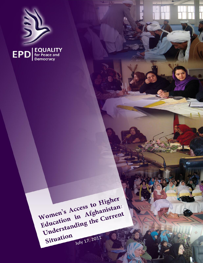

<span id="page-0-0"></span>Women's Access to Higher Education in Afghanistan: Understanding the Current Situation July 17, 2011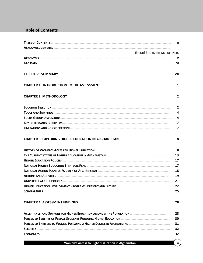### **Table of Contents**

| ERROR! BOOKMARK NOT DEFINED.                                                                |                         |
|---------------------------------------------------------------------------------------------|-------------------------|
|                                                                                             | v                       |
|                                                                                             | VI                      |
| <b>EXECUTIVE SUMMARY</b>                                                                    | VII                     |
| <b>CHAPTER 1: INTRODUCTION TO THE ASSESSMENT</b>                                            | 1                       |
| <b>CHAPTER 2: METHODOLOGY EXAMPLE AND SERVE ASSESSED AND LOCAL CONTRACT ON A CHAPTER 2:</b> | 2                       |
|                                                                                             | $\overline{2}$          |
|                                                                                             | 4                       |
|                                                                                             | 4                       |
|                                                                                             | 7                       |
|                                                                                             | $\overline{\mathbf{z}}$ |
| <b>CHAPTER 3: EXPLORING HIGHER EDUCATION IN AFGHANISTAN</b>                                 | 8                       |
|                                                                                             | - 8                     |
|                                                                                             | 13                      |
|                                                                                             | 17                      |
|                                                                                             | 17                      |
|                                                                                             | 18                      |
|                                                                                             | 19                      |
|                                                                                             | 21                      |
|                                                                                             | 22                      |
|                                                                                             | 25                      |
| <b>CHAPTER 4: ASSESSMENT FINDINGS</b>                                                       | 28                      |
|                                                                                             | 28                      |
|                                                                                             | 30                      |
|                                                                                             | 31                      |
|                                                                                             | 32                      |
|                                                                                             | 32                      |
| Women's Access to Higher Education in Afghanistan                                           | 11                      |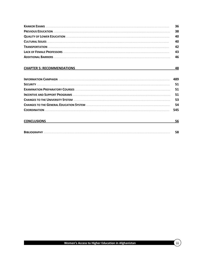|                            | 36 |
|----------------------------|----|
|                            | 38 |
|                            | 40 |
|                            | 40 |
|                            | 42 |
|                            | 43 |
| <b>ADDITIONAL BARRIERS</b> | 46 |

#### **[CHAPTER 5: RECOMMENDATIONS](#page-56-0) 48**

|                    | 489 |
|--------------------|-----|
|                    | 51  |
|                    | 51  |
|                    | 51  |
|                    | 53  |
|                    | 54  |
|                    | 545 |
|                    |     |
| <b>CONCLUSIONS</b> | 56  |

| <b>BIBLIOGRAPHY</b> |  |
|---------------------|--|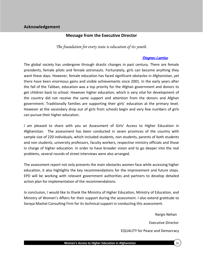#### **Message from the Executive Director**

*The foundation for every state is education of its youth.* 

#### *[Diogenes Laertius](http://www.quotationspage.com/quotes/Diogenes_Laertius/)*

The global society has undergone through drastic changes in past century. There are female presidents, female pilots and female astronauts. Fortunately, girls can become anything they want these days. However, female education has faced significant obstacles in Afghanistan, yet there have been enormous gains and visible achievements since 2001. In the early years after the fall of the Taliban, education was a top priority for the Afghan government and donors to get children back to school. However higher education, which is very vital for development of the country did not receive the same support and attention from the donors and Afghan government. Traditionally families are supporting their girls' education at the primary level. However at the secondary drop out of girls from schools begin and very few numbers of girls can pursue their higher education.

I am pleased to share with you an Assessment of Girls' Access to Higher Education in Afghanistan. The assessment has been conducted in seven provinces of the country with sample size of 220 individuals, which included students, non students, parents of both students and non students, university professors, faculty workers, respective ministry officials and those in charge of higher education. In order to have broader vision and to go deeper into the real problems, several rounds of street interviews were also arranged.

The assessment report not only presents the main obstacles women face while accessing higher education, it also highlights the key recommendations for the improvement and future steps. EPD will be working with relevant government authorities and partners to develop detailed action plan for implementation of the recommendations.

In conclusion, I would like to thank the Ministry of Higher Education, Ministry of Education, and Ministry of Women's Affairs for their support during the assessment. I also extend gratitude to Soraya Mashal Consulting Firm for its technical support in conducting this assessment.

> Nargis Nehan Executive Director EQUALITY for Peace and Democracy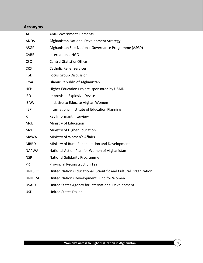### <span id="page-4-0"></span>**Acronyms**

| <b>AGE</b>    | <b>Anti-Government Elements</b>                                  |
|---------------|------------------------------------------------------------------|
| <b>ANDS</b>   | Afghanistan National Development Strategy                        |
| <b>ASGP</b>   | Afghanistan Sub-National Governance Programme (ASGP)             |
| <b>CARE</b>   | <b>International NGO</b>                                         |
| <b>CSO</b>    | <b>Central Statistics Office</b>                                 |
| <b>CRS</b>    | <b>Catholic Relief Services</b>                                  |
| <b>FGD</b>    | <b>Focus Group Discussion</b>                                    |
| <b>IRoA</b>   | <b>Islamic Republic of Afghanistan</b>                           |
| <b>HEP</b>    | Higher Education Project, sponsored by USAID                     |
| <b>IED</b>    | <b>Improvised Explosive Devise</b>                               |
| <b>IEAW</b>   | Initiative to Educate Afghan Women                               |
| <b>IIEP</b>   | International Institute of Education Planning                    |
| KII           | Key Informant Interview                                          |
| MoE           | Ministry of Education                                            |
| <b>MoHE</b>   | Ministry of Higher Education                                     |
| <b>MoWA</b>   | Ministry of Women's Affairs                                      |
| <b>MRRD</b>   | Ministry of Rural Rehabilitation and Development                 |
| <b>NAPWA</b>  | National Action Plan for Women of Afghanistan                    |
| <b>NSP</b>    | <b>National Solidarity Programme</b>                             |
| <b>PRT</b>    | <b>Provincial Reconstruction Team</b>                            |
| <b>UNESCO</b> | United Nations Educational, Scientific and Cultural Organization |
| <b>UNIFEM</b> | United Nations Development Fund for Women                        |
| <b>USAID</b>  | United States Agency for International Development               |
| <b>USD</b>    | <b>United States Dollar</b>                                      |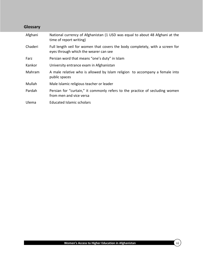# <span id="page-5-0"></span>**Glossary**

| Afghani | National currency of Afghanistan (1 USD was equal to about 48 Afghani at the<br>time of report writing)                |  |  |
|---------|------------------------------------------------------------------------------------------------------------------------|--|--|
| Chaderi | Full length veil for women that covers the body completely, with a screen for<br>eyes through which the wearer can see |  |  |
| Farz    | Persian word that means "one's duty" in Islam                                                                          |  |  |
| Kankor  | University entrance exam in Afghanistan                                                                                |  |  |
| Mahram  | A male relative who is allowed by Islam religion to accompany a female into<br>public spaces                           |  |  |
| Mullah  | Male Islamic religious teacher or leader                                                                               |  |  |
| Pardah  | Persian for "curtain," it commonly refers to the practice of secluding women<br>from men and vice versa                |  |  |
| Ulema   | Educated Islamic scholars                                                                                              |  |  |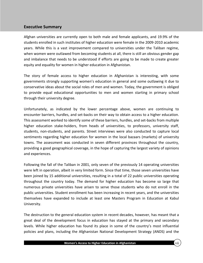#### <span id="page-6-0"></span>**Executive Summary**

Afghan universities are currently open to both male and female applicants, and 19.9% of the students enrolled in such institutes of higher education were female in the 2009-2010 academic years. While this is a vast improvement compared to universities under the Taliban regime, when women were outlawed from becoming students at all, there is still an obvious gender gap and imbalance that needs to be understood if efforts are going to be made to create greater equity and equality for women in higher education in Afghanistan.

The story of female access to higher education in Afghanistan is interesting, with some governments strongly supporting women's education in general and some outlawing it due to conservative ideas about the social roles of men and women. Today, the government is obliged to provide equal educational opportunities to men and women starting in primary school through their university degree.

Unfortunately, as indicated by the lower percentage above, women are continuing to encounter barriers, hurdles, and set-backs on their way to obtain access to a higher education. This assessment worked to identify some of these barriers, hurdles, and set-backs from multiple higher education stake-holders, from heads of universities, to professors, university staff, students, non-students, and parents. Street interviews were also conducted to capture local sentiments regarding higher education for women in the local bazaars (markets) of university towns. The assessment was conducted in seven different provinces throughout the country, providing a good geographical coverage, in the hope of capturing the largest variety of opinions and experiences.

Following the fall of the Taliban in 2001, only seven of the previously 14 operating universities were left in operation, albeit in very limited form. Since that time, those seven universities have been joined by 15 additional universities, resulting in a total of 22 public universities operating throughout the country today. The demand for higher education has become so large that numerous private universities have arisen to serve those students who do not enroll in the public universities. Student enrollment has been increasing in recent years, and the universities themselves have expanded to include at least one Masters Program in Education at Kabul University.

The destruction to the general education system in recent decades, however, has meant that a great deal of the development focus in education has stayed at the primary and secondary levels. While higher education has found its place in some of the country's most influential policies and plans, including the Afghanistan National Development Strategy (ANDS) and the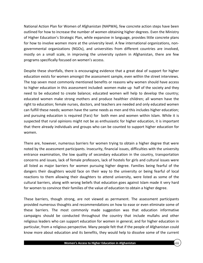National Action Plan for Women of Afghanistan (NAPWA), few concrete action steps have been outlined for how to increase the number of women obtaining higher degrees. Even the Ministry of Higher Education's Strategic Plan, while expansive in language, provides little concrete plans for how to involve women more at the university level. A few international organizations, nongovernmental organizations (NGOs), and universities from different countries are involved, mostly on a small scale, in improving the university system in Afghanistan, there are few programs specifically focused on women's access.

Despite these shortfalls, there is encouraging evidence that a great deal of support for higher education exists for women amongst the assessment sample, even within the street interviews. The top seven most commonly mentioned benefits or reasons why women should have access to higher education in this assessment included: women make up half of the society and they need to be educated to create balance; educated women will help to develop the country; educated women make strong mothers and produce healthier children; all women have the right to education; female nurses, doctors, and teachers are needed and only educated women can fulfill these needs; women have the same needs as men and this includes higher education; and pursuing education is required (Farz) for both men and women within Islam. While it is suspected that rural opinions might not be as enthusiastic for higher education, it is important that there already individuals and groups who can be counted to support higher education for women.

There are, however, numerous barriers for women trying to obtain a higher degree that were noted by the assessment participants. Insecurity, financial issues, difficulties with the university entrance examination, the low quality of secondary education in the country, transportation concerns and issues, lack of female professors, lack of hostels for girls and cultural issues were all listed as major barriers for women pursuing higher degree. Families being fearful of the dangers their daughters would face on their way to the university or being fearful of local reactions to them allowing their daughters to attend university, were listed as some of the cultural barriers, along with wrong beliefs that education goes against Islam made it very hard for women to convince their families of the value of education to obtain a higher degree.

These barriers, though strong, are not viewed as permanent. The assessment participants provided numerous thoughts and recommendations on how to ease or even eliminate some of these barriers. The most commonly made suggestion was that education informative campaigns should be conducted throughout the country that include mullahs and other religious leaders who can support education for women in general, and for higher education in particular, from a religious perspective. Many people felt that if the people of Afghanistan could know more about education and its benefits, they would help to dissolve some of the current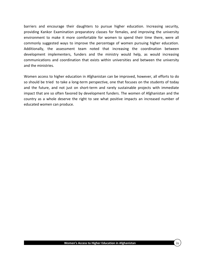barriers and encourage their daughters to pursue higher education. Increasing security, providing Kankor Examination preparatory classes for females, and improving the university environment to make it more comfortable for women to spend their time there, were all commonly suggested ways to improve the percentage of women pursuing higher education. Additionally, the assessment team noted that increasing the coordination between development implementers, funders and the ministry would help, as would increasing communications and coordination that exists within universities and between the university and the ministries.

Women access to higher education in Afghanistan can be improved, however, all efforts to do so should be tried to take a long-term perspective, one that focuses on the students of today and the future, and not just on short-term and rarely sustainable projects with immediate impact that are so often favored by development funders. The women of Afghanistan and the country as a whole deserve the right to see what positive impacts an increased number of educated women can produce.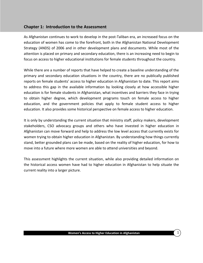### <span id="page-9-0"></span>**Chapter 1: Introduction to the Assessment**

As Afghanistan continues to work to develop in the post-Taliban era, an increased focus on the education of women has come to the forefront, both in the Afghanistan National Development Strategy (ANDS) of 2006 and in other development plans and documents. While most of the attention is placed on primary and secondary education, there is an increasing need to begin to focus on access to higher educational institutions for female students throughout the country.

While there are a number of reports that have helped to create a baseline understanding of the primary and secondary education situations in the country, there are no publically published reports on female students' access to higher education in Afghanistan to date. This report aims to address this gap in the available information by looking closely at how accessible higher education is for female students in Afghanistan, what incentives and barriers they face in trying to obtain higher degree, which development programs touch on female access to higher education, and the government policies that apply to female student access to higher education. It also provides some historical perspective on female access to higher education.

It is only by understanding the current situation that ministry staff, policy makers, development stakeholders, CSO advocacy groups and others who have invested in higher education in Afghanistan can move forward and help to address the low level access that currently exists for women trying to obtain higher education in Afghanistan. By understanding how things currently stand, better grounded plans can be made, based on the reality of higher education, for how to move into a future where more women are able to attend universities and beyond.

This assessment highlights the current situation, while also providing detailed information on the historical access women have had to higher education in Afghanistan to help situate the current reality into a larger picture.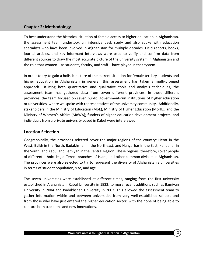#### <span id="page-10-0"></span>**Chapter 2: Methodology**

To best understand the historical situation of female access to higher education in Afghanistan, the assessment team undertook an intensive desk study and also spoke with education specialists who have been involved in Afghanistan for multiple decades. Field reports, books, journal articles, and key informant interviews were used to verify and confirm data from different sources to draw the most accurate picture of the university system in Afghanistan and the role that women – as students, faculty, and staff – have played in that system.

In order to try to gain a holistic picture of the current situation for female tertiary students and higher education in Afghanistan in general, this assessment has taken a multi-pronged approach. Utilizing both quantitative and qualitative tools and analysis techniques, the assessment team has gathered data from seven different provinces. In these different provinces, the team focused on seven public, government-run institutions of higher education or universities, where we spoke with representatives of the university community. Additionally, stakeholders in the Ministry of Education (MoE), Ministry of Higher Education (MoHE), and the Ministry of Women's Affairs (MoWA); funders of higher education development projects; and individuals from a private university based in Kabul were interviewed.

#### <span id="page-10-1"></span>**Location Selection**

Geographically, the provinces selected cover the major regions of the country: Herat in the West, Balkh in the North, Badakhshan in the Northeast, and Nangarhar in the East, Kandahar in the South, and Kabul and Bamiyan in the Central Region. These regions, therefore, cover people of different ethnicities, different branches of Islam, and other common divisors in Afghanistan. The provinces were also selected to try to represent the diversity of Afghanistan's universities in terms of student population, size, and age.

The seven universities were established at different times, ranging from the first university established in Afghanistan; Kabul University in 1932, to more recent additions such as Bamiyan University in 2004 and Badakhshan University in 2003. This allowed the assessment team to gather information within and between universities from very well-established schools and from those who have just entered the higher education sector, with the hope of being able to capture both traditions and new innovations.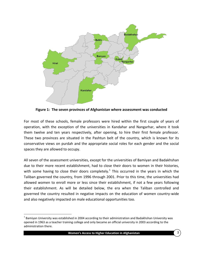

**Figure 1: The seven provinces of Afghanistan where assessment was conducted**

For most of these schools, female professors were hired within the first couple of years of operation, with the exception of the universities in Kandahar and Nangarhar, where it took them twelve and ten years respectively, after opening, to hire their first female professor. These two provinces are situated in the Pashtun belt of the country, which is known for its conservative views on purdah and the appropriate social roles for each gender and the social spaces they are allowed to occupy.

All seven of the assessment universities, except for the universities of Bamiyan and Badakhshan due to their more recent establishment, had to close their doors to women in their histories, with some having to close their doors completely.<sup>1</sup> This occurred in the years in which the Taliban governed the country, from 1996 through 2001. Prior to this time, the universities had allowed women to enroll more or less since their establishment, if not a few years following their establishment. As will be detailed below, the era when the Taliban controlled and governed the country resulted in negative impacts on the education of women country-wide and also negatively impacted on male educational opportunities too.

 $^{\text{1}}$  Bamiyan University was established in 2004 according to their administration and Badakhshan University was opened in 1963 as a teacher training college and only became an official university in 2003 according to the administration there.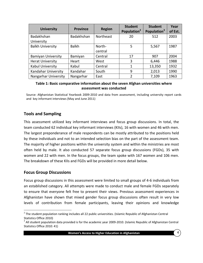| <b>University</b>           | <b>Province</b> | <b>Region</b> | <b>Student</b><br>Population <sup>2</sup> | <b>Student</b><br>Population <sup>3</sup> | Year<br>of Est. |
|-----------------------------|-----------------|---------------|-------------------------------------------|-------------------------------------------|-----------------|
| Badakhshan                  | Badakhshan      | Northeast     | 20                                        | 512                                       | 2003            |
| University                  |                 |               |                                           |                                           |                 |
| <b>Balkh University</b>     | <b>Balkh</b>    | North-        | 5                                         | 5,567                                     | 1987            |
|                             |                 | central       |                                           |                                           |                 |
| <b>Bamiyan University</b>   | Bamiyan         | Central       | 17                                        | 907                                       | 2004            |
| <b>Herat University</b>     | Heart           | West          | 3                                         | 6,446                                     | 1988            |
| Kabul University            | Kabul           | Central       | 1                                         | 13,350                                    | 1932            |
| Kandahar University         | Kandahar        | South         | 9                                         | 2,013                                     | 1990            |
| <b>Nangarhar University</b> | Nangarhar       | East          | $\overline{2}$                            | 7,109                                     | 1963            |

#### **Table 1: Basic comparative information about the seven Afghan universities where assessment was conducted**

Source: Afghanistan Statistical Yearbook 2009-2010 and data from assessment, including university report cards and key informant interviews (May and June 2011)

### <span id="page-12-0"></span>**Tools and Sampling**

This assessment utilized key informant interviews and focus group discussions. In total, the team conducted 62 individual key informant interviews (KIIs), 16 with women and 46 with men. The largest preponderance of male respondents can be mostly attributed to the positions held by these individuals and not to an intended selection bias on the part of the assessment team. The majority of higher positions within the university system and within the ministries are most often held by male. It also conducted 57 separate focus group discussions (FGDs), 35 with women and 22 with men. In the focus groups, the team spoke with 167 women and 106 men. The breakdown of these KIIs and FGDs will be provided in more detail below.

#### <span id="page-12-1"></span>**Focus Group Discussions**

 $\overline{a}$ 

Focus group discussions in this assessment were limited to small groups of 4-6 individuals from an established category. All attempts were made to conduct male and female FGDs separately to ensure that everyone felt free to present their views. Previous assessment experiences in Afghanistan have shown that mixed gender focus group discussions often result in very low levels of contribution from female participants, leaving their opinions and knowledge

 $^2$  The student population ranking includes all 22 public universities. (Islamic Republic of Afghanistan Central [Statistics Office 2010\)](#page-66-1)

 $^3$  All student population data provided is for the academic year 2009-2010. (Islamic Republic of Afghanistan Central [Statistics Office 2010: 41\)](#page-66-1)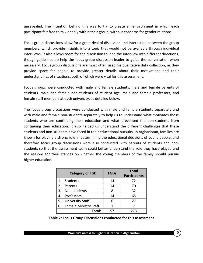unrevealed. The intention behind this was to try to create an environment in which each participant felt free to talk openly within their group, without concerns for gender relations.

Focus group discussions allow for a great deal of discussion and interaction between the group members, which provide insights into a topic that would not be available through individual interviews. It also allows room for the discussion to lead the interview into different directions, though guidelines do help the focus group discussion leader to guide the conversation when necessary. Focus group discussions are most often used for qualitative data collection, as they provide space for people to provide greater details about their motivations and their understandings of situations, both of which were vital for this assessment.

Focus groups were conducted with male and female students, male and female parents of students, male and female non-students of student age, male and female professors, and female staff members at each university, as detailed below.

The focus group discussions were conducted with male and female students separately and with male and female non-students separately to help us to understand what motivates those students who are continuing their education and what prevented the non-students from continuing their education. It also helped us understand the different challenges that these students and non-students have faced in their educational pursuits. In Afghanistan, families are known for playing a strong role in determining the educational decisions of young people, and therefore focus group discussions were also conducted with parents of students and nonstudents so that the assessment team could better understand the role they have played and the reasons for their stances on whether the young members of the family should pursue higher education.

|    | <b>Category of FGD</b>       | <b>FGDs</b> | <b>Total</b><br><b>Participants</b> |
|----|------------------------------|-------------|-------------------------------------|
| 1. | <b>Students</b>              | 14          | 72                                  |
| 2. | Parents                      | 14          | 70                                  |
| 3. | Non-students                 | 8           | 32                                  |
| 4. | Professors                   | 14          | 65                                  |
| 5. | <b>University Staff</b>      | 6           | 27                                  |
| 6. | <b>Female Ministry Staff</b> | 1           |                                     |
|    | <b>Totals</b>                | 57          | 273                                 |

**Table 2: Focus Group Discussions conducted for this assessment**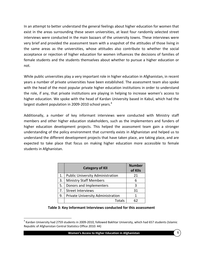In an attempt to better understand the general feelings about higher education for women that exist in the areas surrounding these seven universities, at least four randomly selected street interviews were conducted in the main bazaars of the university towns. These interviews were very brief and provided the assessment team with a snapshot of the attitudes of those living in the same areas as the universities, whose attitudes also contribute to whether the social acceptance or rejection of higher education for women influences the decisions of families of female students and the students themselves about whether to pursue a higher education or not.

While public universities play a very important role in higher education in Afghanistan, in recent years a number of private universities have been established. The assessment team also spoke with the head of the most popular private higher education institutions in order to understand the role, if any, that private institutions are playing in helping to increase women's access to higher education. We spoke with the head of Kardan University based in Kabul, which had the largest student population in 2009-2010 school years.<sup>4</sup>

Additionally, a number of key informant interviews were conducted with Ministry staff members and other higher education stakeholders, such as the implementers and funders of higher education development projects. This helped the assessment team gain a stronger understanding of the policy environment that currently exists in Afghanistan and helped us to understand the different development projects that have taken place, are taking place, and are expected to take place that focus on making higher education more accessible to female students in Afghanistan.

|    | <b>Category of KII</b>                  | <b>Number</b><br>of KIIs |
|----|-----------------------------------------|--------------------------|
| 1. | <b>Public University Administration</b> | 21                       |
| 3. | <b>Ministry Staff Members</b>           | 6                        |
| 5. | Donors and Implementers                 | 3                        |
| 7. | <b>Street Interviews</b>                | 31                       |
| 9. | Private University Administration       |                          |
|    | Totals                                  |                          |

**Table 3: Key Informant Interviews conducted for this assessment**

 $\overline{a}$ 4 Kardan University had 2759 students in 2009-2010, followed Bakhtar University, which had 657 students [\(Islamic](#page-66-1)  [Republic of Afghanistan Central Statistics Office 2010: 44\)](#page-66-1)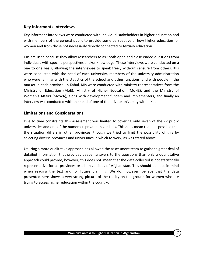### <span id="page-15-0"></span>**Key Informants Interviews**

Key informant interviews were conducted with individual stakeholders in higher education and with members of the general public to provide some perspective of how higher education for women and from those not necessarily directly connected to tertiary education.

KIIs are used because they allow researchers to ask both open and close ended questions from individuals with specific perspectives and/or knowledge. These interviews were conducted on a one to one basis, allowing the interviewee to speak freely without censure from others. KIIs were conducted with the head of each university, members of the university administration who were familiar with the statistics of the school and other functions, and with people in the market in each province. In Kabul, KIIs were conducted with ministry representatives from the Ministry of Education (MoE), Ministry of Higher Education (MoHE), and the Ministry of Women's Affairs (MoWA), along with development funders and implementers, and finally an interview was conducted with the head of one of the private university within Kabul.

### <span id="page-15-1"></span>**Limitations and Considerations**

Due to time constraints this assessment was limited to covering only seven of the 22 public universities and one of the numerous private universities. This does mean that it is possible that the situation differs in other provinces, though we tried to limit the possibility of this by selecting diverse provinces and universities in which to work, as was stated above.

Utilizing a more qualitative approach has allowed the assessment team to gather a great deal of detailed information that provides deeper answers to the questions than only a quantitative approach could provide, however, this does not mean that the data collected is not statistically representative for all provinces or all universities of Afghanistan. This should be kept in mind when reading the text and for future planning. We do, however, believe that the data presented here shows a very strong picture of the reality on the ground for women who are trying to access higher education within the country.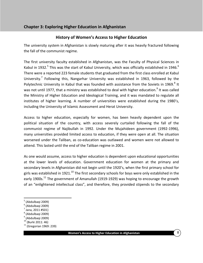### <span id="page-16-0"></span>**Chapter 3: Exploring Higher Education in Afghanistan**

### **History of Women's Access to Higher Education**

<span id="page-16-1"></span>The university system in Afghanistan is slowly maturing after it was heavily fractured following the fall of the communist regime.

The first university faculty established in Afghanistan, was the Faculty of Physical Sciences in Kabul in 1932.<sup>5</sup> This was the start of Kabul University, which was officially established in 1946.<sup>6</sup> There were a reported 223 female students that graduated from the first class enrolled at Kabul University.<sup>7</sup> Following this, Nangarhar University was established in 1963, followed by the Polytechnic University in Kabul that was founded with assistance from the Soviets in 1969.<sup>8</sup> It was not until 1977, that a ministry was established to deal with higher education.<sup>9</sup> It was called the Ministry of Higher Education and Ideological Training, and it was mandated to regulate all institutes of higher learning. A number of universities were established during the 1980's, including the University of Islamic Assessment and Herat University.

Access to higher education, especially for women, has been heavily dependent upon the political situation of the country, with access severely curtailed following the fall of the communist regime of Najibullah in 1992. Under the Mujahideen government (1992-1996), many universities provided limited access to education, if they were open at all. The situation worsened under the Taliban, as co-education was outlawed and women were not allowed to attend. This lasted until the end of the Taliban regime in 2001.

As one would assume, access to higher education is dependent upon educational opportunities at the lower levels of education. Government education for women at the primary and secondary levels in Afghanistan did not begin until the 1920's, when the first primary school for girls was established in 1921.<sup>10</sup> The first secondary schools for boys were only established in the early 1900s.<sup>11</sup> The government of Amanullah (1919-1929) was hoping to encourage the growth of an "enlightened intellectual class", and therefore, they provided stipends to the secondary

- 8 [\(Abdulbaqi 2009\)](#page-66-2)
- 9 [\(Abdulbaqi 2009\)](#page-66-2)
- $10$  [\(Burki 2011: 46\)](#page-66-3)

<sup>&</sup>lt;sup>5</sup> [\(Abdulbaqi 2009\)](#page-66-2)

<sup>&</sup>lt;sup>6</sup> [\(Abdulbaqi 2009\)](#page-66-2)

 $^7$  Jana, 2011 #501}

 $11$  [\(Gregorian 1969: 239\)](#page-66-4)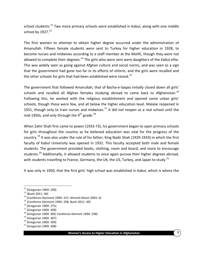school students.<sup>12</sup> Two more primary schools were established in Kabul, along with one middle school by  $1927.<sup>13</sup>$ 

The first women to attempt to obtain higher degree occurred under the administration of Amanullah. Fifteen female students were sent to Turkey for higher education in 1928, to become nurses and midwives according to a staff member at the MoHE, though they were not allowed to complete their degrees. $^{14}$  The girls who were sent were daughters of the Kabul elite. This was widely seen as going against Afghan culture and social norms, and was seen as a sign that the government had gone too far in its efforts of reform, and the girls were recalled and the other schools for girls that had been established were closed.<sup>15</sup>

The government that followed Amanullah, that of Bacha-e-Saqao initially closed down all girls' schools and recalled all Afghan females studying abroad to come back to Afghanistan.<sup>16</sup> Following this, he worked with the religious establishment and opened some urban girls' schools, though these were few, and all below the higher education level. Malalai reopened in 1931, though only to train nurses and midwives. $17$  It did not reopen as a real school until the mid-1950s, and only through the  $9<sup>th</sup>$  grade.<sup>18</sup>

When Zahir Shah first came to power (1933-73), his government began to open primary schools for girls throughout the country as he believed education was vital for the progress of the country.<sup>19</sup> It was also under the rule of his father, King Nadir Shah (1929-1933) in which the first faculty of Kabul University was opened in 1932. This faculty accepted both male and female students. The government provided books, clothing, room and board, and more to encourage students.<sup>20</sup> Additionally, it allowed students to once again pursue their higher degrees abroad, with students travelling to France, Germany, the UK, the US, Turkey, and Japan to study.<sup>21</sup>

It was only in 1950, that the first girls' high school was established in Kabul, which is where the

<sup>&</sup>lt;sup>12</sup> [\(Gregorian 1969: 240\)](#page-66-4)

<sup>13</sup> [\(Burki 2011: 46\)](#page-66-3)

<sup>14</sup> [\(Centlivres-Dermont 1994: 337;](#page-66-5) [Ahmed-Ghosh 2003: 4\)](#page-66-6)

<sup>15</sup> [\(Centlivres-Dermont 1994: 338;](#page-66-5) [Burki 2011: 49\)](#page-66-3)

 $16$  [\(Gregorian 1969: 275\)](#page-66-4)

 $17$  [\(Gregorian 1969: 309\)](#page-66-4)

<sup>18</sup> [\(Gregorian 1969: 309;](#page-66-4) [Centlivres-Demont 1994: 338\)](#page-66-7)

<sup>19</sup> [\(Gregorian 1969: 307\)](#page-66-4)

 $20$  [\(Gregorian 1969: 309\)](#page-66-4)

 $21$  [\(Gregorian 1969: 308\)](#page-66-4)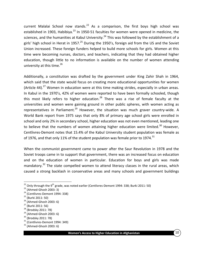current Malalai School now stands.<sup>22</sup> As a comparison, the first boys high school was established in 1903, Habibiya. $^{23}$  In 1950-51 faculties for women were opened in medicine, the sciences, and the humanities at Kabul University.<sup>24</sup> This was followed by the establishment of a girls' high school in Herat in 1957.<sup>25</sup> During the 1950's, foreign aid from the US and the Soviet Union increased. These foreign funders helped to build more schools for girls. Women at this time were becoming nurses, doctors, and teachers, indicating that they had obtained higher education, though little to no information is available on the number of women attending university at this time. $^{26}$ 

Additionally, a constitution was drafted by the government under King Zahir Shah in 1964, which said that the state would focus on creating more educational opportunities for women (Article 44).<sup>27</sup> Women in education were at this time making strides, especially in urban areas. In Kabul in the 1970's, 42% of women were reported to have been formally schooled, though this most likely refers to higher education.<sup>28</sup> There was a rise of female faculty at the universities and women were gaining ground in other public spheres, with women acting as representatives in Parliament.<sup>29</sup> However, the situation was much graver country-wide. A World Bank report from 1975 says that only 8% of primary age school girls were enrolled in school and only 2% in secondary school, higher education was not even mentioned, leading one to believe that the numbers of women attaining higher education were limited.<sup>30</sup> However, Centlivres-Demont notes that 15.4% of the Kabul University student population was female as of 1976, and that only 11% of the student population was female prior to 1974.<sup>31</sup>

When the communist government came to power after the Saur Revolution in 1978 and the Soviet troops came in to support that government, there was an increased focus on education and on the education of women in particular. Education for boys and girls was made mandatory.<sup>32</sup> The state compelled women to attend literacy classes in the rural areas, which caused a strong backlash in conservative areas and many schools and government buildings

 $\overline{a}$  $^{22}$  Only through the 9<sup>th</sup> grade, was noted earlier [\(Centlivres-Demont 1994: 338;](#page-66-7) [Burki 2011: 50\)](#page-66-3)

<sup>23</sup> [\(Ahmed-Ghosh 2003: 3\)](#page-66-6)

 $24$  [\(Centlivres-Demont 1994: 338\)](#page-66-7)

<sup>25</sup> [\(Burki 2011: 50\)](#page-66-3)

 $26$  [\(Ahmed-Ghosh 2003: 6\)](#page-66-6)

<sup>27</sup> [\(Burki 2011: 56\)](#page-66-3)

<sup>&</sup>lt;sup>28</sup> [\(Brodsky 2011: 78\)](#page-66-8)

 $29$  [\(Ahmed-Ghosh 2003: 6\)](#page-66-6)

<sup>30</sup> [\(Brodsky 2011: 78\)](#page-66-8)

 $31$  [\(Centlivres-Demont 1994: 349\)](#page-66-7)

 $32$  [\(Ahmed-Ghosh 2003: 6\)](#page-66-6)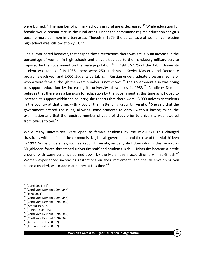were burned.<sup>33</sup> The number of primary schools in rural areas decreased.<sup>34</sup> While education for female would remain rare in the rural areas, under the communist regime education for girls became more common in urban areas. Though in 1979, the percentage of women completing high school was still low at only 5%.<sup>35</sup>

One author noted however, that despite these restrictions there was actually an increase in the percentage of women in high schools and universities due to the mandatory military service imposed by the government on the male population.<sup>36</sup> In 1984, 57.7% of the Kabul University student was female.<sup>37</sup> In 1988, there were 250 students in Soviet Master's and Doctorate programs each year and 1,000 students partaking in Russian undergraduate programs, some of whom were female, though the exact number is not known.<sup>38</sup> The government also was trying to support education by increasing its university allowances in  $1988$ .<sup>39</sup> Centlivres-Demont believes that there was a big push for education by the government at this time as it hoped to increase its support within the country; she reports that there were 13,000 university students in the country at that time, with 7,600 of them attending Kabul University.<sup>40</sup> She said that the government altered the rules, allowing some students to enroll without having taken the examination and that the required number of years of study prior to university was lowered from twelve to ten. $41$ 

While many universities were open to female students by the mid-1980, this changed drastically with the fall of the communist Najibullah government and the rise of the Mujahideen in 1992. Some universities, such as Kabul University, virtually shut down during this period, as Mujahideen forces threatened university staff and students. Kabul University became a battle ground, with some buildings burned down by the Mujahideen, according to Ahmed-Ghosh.<sup>42</sup> Women experienced increasing restrictions on their movement, and the all enveloping veil called a chaderi, was made mandatory at this time. $43$ 

 $35$  [\(Jana 2011\)](#page-67-0)

- $36$  [\(Centlivres-Demont 1994: 347\)](#page-66-7)
- <sup>37</sup> [\(Centlivres-Demont 1994: 349\)](#page-66-7)
- <sup>38</sup> [\(Arnold 1994: 59\)](#page-66-9)
- <sup>39</sup> [\(Rubin 1994: 215\)](#page-67-1)
- <sup>40</sup> [\(Centlivres-Demont 1994: 349\)](#page-66-7)
- <sup>41</sup> [\(Centlivres-Demont 1994: 348\)](#page-66-7)
- $42$  [\(Ahmed-Ghosh 2003: 7\)](#page-66-6)
- <sup>43</sup> [\(Ahmed-Ghosh 2003: 7\)](#page-66-6)

<sup>&</sup>lt;sup>33</sup> [\(Burki 2011: 53\)](#page-66-3)

<sup>34</sup> [\(Centlivres-Demont 1994: 347\)](#page-66-7)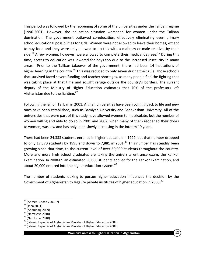This period was followed by the reopening of some of the universities under the Taliban regime (1996-2001). However, the education situation worsened for women under the Taliban domination. The government outlawed co-education, effectively eliminating even primary school educational possibilities for girls. Women were not allowed to leave their homes, except to buy food and they were only allowed to do this with a mahram or male relative, by their side.<sup>44</sup> A few women, however, were allowed to complete their medical degrees.<sup>45</sup> During this time, access to education was lowered for boys too due to the increased insecurity in many areas. Prior to the Taliban takeover of the government, there had been 14 institutions of higher learning in the country.<sup>46</sup> This was reduced to only seven during their rule. Those schools that survived faced severe funding and teacher shortages, as many people fled the fighting that was taking place at that time and sought refuge outside the country's borders. The current deputy of the Ministry of Higher Education estimates that 70% of the professors left Afghanistan due to the fighting. $47$ 

Following the fall of Taliban in 2001, Afghan universities have been coming back to life and new ones have been established, such as Bamiyan University and Badakhshan University. All of the universities that were part of this study have allowed women to matriculate, but the number of women willing and able to do so in 2001 and 2002, when many of them reopened their doors to women, was low and has only been slowly increasing in the interim 10 years.

There had been 24,333 students enrolled in higher education in 1992, but that number dropped to only 17,370 students by 1995 and down to 7,881 in 2001.<sup>48</sup> This number has steadily been growing since that time, to the current level of over 60,000 students throughout the country. More and more high school graduates are taking the university entrance exam, the Kankor Examination. In 2008-09 an estimated 90,000 students applied for the Kankor Examination, and about 20,000 entered into the higher education system. $49$ 

The number of students looking to pursue higher education influenced the decision by the Government of Afghanistan to legalize private institutes of higher education in 2003.<sup>50</sup>

 $45$  [\(Jana 2011\)](#page-67-0)

- <sup>46</sup> [\(Abdulbaqi 2009\)](#page-66-2)
- $47$  [\(Nemtsova 2010\)](#page-67-2)

<sup>&</sup>lt;sup>44</sup> [\(Ahmed-Ghosh 2003: 7\)](#page-66-6)

 $48$  [\(Nemtsova 2010\)](#page-67-2)

 $49$  [\(Islamic Republic of Afghanistan Ministry of Higher Education 2009\)](#page-67-3)

<sup>&</sup>lt;sup>50</sup> [\(Islamic Republic of Afghanistan Ministry of Higher Education 2009\)](#page-67-3)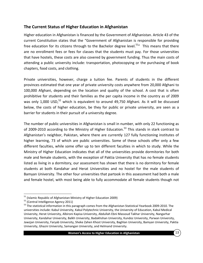# <span id="page-21-0"></span>**The Current Status of Higher Education in Afghanistan**

Higher education in Afghanistan is financed by the Government of Afghanistan. Article 43 of the current Constitution states that the "Government of Afghanistan is responsible for providing free education for its citizens through to the Bachelor degree level.<sup>51</sup> This means that there are no enrollment fees or fees for classes that the students must pay. For those universities that have hostels, these costs are also covered by government funding. Thus the main costs of attending a public university include: transportation, photocopying or the purchasing of book chapters, food costs, and clothing.

Private universities, however, charge a tuition fee. Parents of students in the different provinces estimated that one year of private university costs anywhere from 20,000 Afghani to 100,000 Afghani, depending on the location and quality of the school. A cost that is often prohibitive for students and their families as the per capita income in the country as of 2009 was only 1,000 USD, $52$  which is equivalent to around 49,750 Afghani. As it will be discussed below, the costs of higher education, be they for public or private university, are seen as a barrier for students in their pursuit of a university degree.

The number of public universities in Afghanistan is small in number, with only 22 functioning as of 2009-2010 according to the Ministry of Higher Education.<sup>53</sup> This stands in stark contrast to Afghanistan's neighbor, Pakistan, where there are currently 127 fully functioning institutes of higher learning, 73 of which are public universities. Some of these schools offer only a few different faculties, while some offer up to ten different faculties in which to study. While the Ministry of Higher Education indicates that all of the universities provide dormitories for both male and female students, with the exception of Paktia University that has no female students listed as living in a dormitory, our assessment has shown that there is no dormitory for female students at both Kandahar and Herat Universities and no hostel for the male students of Bamyan University. The other four universities that partook in this assessment had both a male and female hostel, with most being able to fully accommodate all female students though not

 $51$  [\(Islamic Republic of Afghanistan Ministry of Higher Education 2009\)](#page-67-3)

 $52$  [\(Central Intelligence Agency 2011\)](#page-66-10)

<sup>&</sup>lt;sup>53</sup> The statistical information in this paragraph comes from the Afghanistan Statistical Yearbook 2009-2010. The universities include: Kabul University, Kabul Polytechnic University, the University of Education, Kabul Medical University, Herat University, Albironi Kapisa University, Abdullah Ebni Massoud Takhar University, Nangarhar University, Kandahar University, Balkh University, Badakhshan University, Kundoz University, Parwan University, Jawzjan University, Faryab University, Sheke Zahen Khost University, Baghlan University, Bamyan University, Paktia University, Ghazni University, Samangan University, and Helmand University.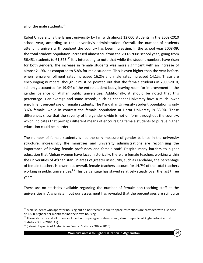all of the male students.<sup>54</sup>

Kabul University is the largest university by far, with almost 12,000 students in the 2009-2010 school year, according to the university's administration. Overall, the number of students attending university throughout the country has been increasing. In the school year 2008-09, the total student population increased almost 9% from the 2007-2008 school year, going from 56,451 students to 61,375.<sup>55</sup> It is interesting to note that while the student numbers have risen for both genders, the increase in female students was more significant with an increase of almost 21.9%, as compared to 5.8% for male students. This is even higher than the year before, when female enrollment rates increased 16.2% and male rates increased 14.1%. These are encouraging numbers, though it must be pointed out that the female students in 2009-2010, still only accounted for 19.9% of the entire student body, leaving room for improvement in the gender balance of Afghan public universities. Additionally, it should be noted that this percentage is an average and some schools, such as Kandahar University have a much lower enrollment percentage of female students. The Kandahar University student population is only 3.6% female, while in contrast the female population at Herat University is 33.9%. These differences show that the severity of the gender divide is not uniform throughout the country, which indicates that perhaps different means of encouraging female students to pursue higher education could be in order.

The number of female students is not the only measure of gender balance in the university structure; increasingly the ministries and university administrations are recognizing the importance of having female professors and female staff. Despite many barriers to higher education that Afghan women have faced historically, there are female teachers working within the universities of Afghanistan. In areas of greater insecurity, such as Kandahar, the percentage of female teachers is lower, but overall, female teachers account for 14.7% of the total teachers working in public universities.<sup>56</sup> This percentage has stayed relatively steady over the last three years.

There are no statistics available regarding the number of female non-teaching staff at the universities in Afghanistan, but our assessment has revealed that the percentages are still quite

 $\overline{a}$ 

<sup>&</sup>lt;sup>54</sup> Male students who apply for housing but do not receive it due to space restrictions are provided with a stipend of 1,800 Afghani per month to find their own housing.

<sup>&</sup>lt;sup>55</sup> These statistics and all others included in this paragraph stem from (Islamic Republic of Afghanistan Central [Statistics Office 2010: 45\)](#page-66-1).

<sup>&</sup>lt;sup>56</sup> [\(Islamic Republic of Afghanistan Central Statistics Office 2010\)](#page-66-1).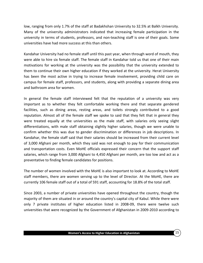low, ranging from only 1.7% of the staff at Badakhshan University to 32.5% at Balkh University. Many of the university administrators indicated that increasing female participation in the university in terms of students, professors, and non-teaching staff is one of their goals. Some universities have had more success at this than others.

Kandahar University had no female staff until this past year, when through word of mouth, they were able to hire six female staff. The female staff in Kandahar told us that one of their main motivations for working at the university was the possibility that the university extended to them to continue their own higher education if they worked at the university. Herat University has been the most active in trying to increase female involvement, providing child care on campus for female staff, professors, and students, along with providing a separate dining area and bathroom area for women.

In general the female staff interviewed felt that the reputation of a university was very important as to whether they felt comfortable working there and that separate gendered facilities, such as dining areas, resting areas, and toilets strongly contributed to a good reputation. Almost all of the female staff we spoke to said that they felt that in general they were treated equally at the universities as the male staff, with salaries only seeing slight differentiations, with male staff obtaining slightly higher salaries, though we were unable to confirm whether this was due to gender discrimination or differences in job descriptions. In Kandahar, the female staff said that their salaries should be increased from their current level of 3,000 Afghani per month, which they said was not enough to pay for their communication and transportation costs. Even MoHE officials expressed their concern that the support staff salaries, which range from 3,000 Afghani to 4,450 Afghani per month, are too low and act as a preventative to finding female candidates for positions.

The number of women involved with the MoHE is also important to look at. According to MoHE staff members, there are women serving up to the level of Director. At the MoHE, there are currently 106 female staff out of a total of 591 staff, accounting for 18.8% of the total staff.

Since 2003, a number of private universities have opened throughout the country, though the majority of them are situated in or around the country's capital city of Kabul. While there were only 7 private institutes of higher education listed in 2008-09, there were twelve such universities that were recognized by the Government of Afghanistan in 2009-2010 according to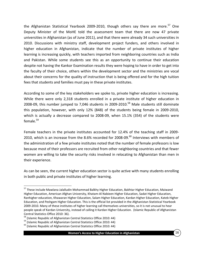the Afghanistan Statistical Yearbook 2009-2010, though others say there are more.<sup>57</sup> One Deputy Minister of the MoHE told the assessment team that there are now 47 private universities in Afghanistan (as of June 2011), and that there were already 34 such universities in 2010. Discussions with ministry staff, development project funders, and others involved in higher education in Afghanistan, indicate that the number of private institutes of higher learning is increasing quickly, with teachers imported from neighboring countries such as India and Pakistan. While some students see this as an opportunity to continue their education despite not having the Kankor Examination results they were hoping to have in order to get into the faculty of their choice, others within the development sector and the ministries are vocal about their concerns for the quality of instruction that is being offered and for the high tuition fees that students and families must pay in these private institutes.

According to some of the key stakeholders we spoke to, private higher education is increasing. While there were only 2,318 students enrolled in a private institute of higher education in 2008-09, this number jumped to 7,046 students in 2009-2010.<sup>58</sup> Male students still dominate this population, however, with only 12% (848) of the students being female in 2009-2010, which is actually a decrease compared to 2008-09, when 15.1% (354) of the students were female.<sup>59</sup>

Female teachers in the private institutes accounted for 12.4% of the teaching staff in 2009- 2010, which is an increase from the 8.6% recorded for 2008-09. $^{60}$  Interviews with members of the administration of a few private institutes noted that the number of female professors is low because most of their professors are recruited from other neighboring countries and that fewer women are willing to take the security risks involved in relocating to Afghanistan than men in their experience.

As can be seen, the current higher education sector is quite active with many students enrolling in both public and private institutes of higher learning.

 $\overline{a}$ <sup>57</sup> These include Mawlana Jalalludin Mohammad Balkhy Higher Education, Bakhtar Higher Education, Maiwand Higher Education, American Afghan University, Khatam-Al Nabieen Higher Education, Sadat Higher Education, Ranhigher education, Khawaran Higher Education, Salam Higher Education, Kardan Higher Education, Kateb Higher Education, and Peshgam Higher Education. This is the official list provided in the Afghanistan Statistical Yearbook 2009-2010. Many of these institutes of higher learning call themselves universities, so it is not unusual to hear people speak of Kardan University, instead of calling it Kardan Higher Education. [\(Islamic Republic of Afghanistan](#page-66-1)  [Central Statistics Office 2010: 36\)](#page-66-1).

<sup>&</sup>lt;sup>58</sup> [\(Islamic Republic of Afghanistan Central Statistics Office 2010: 44\)](#page-66-1)

<sup>&</sup>lt;sup>59</sup> [\(Islamic Republic of Afghanistan Central Statistics Office 2010: 44\)](#page-66-1)

 $60$  [\(Islamic Republic of Afghanistan Central Statistics Office 2010: 44\)](#page-66-1)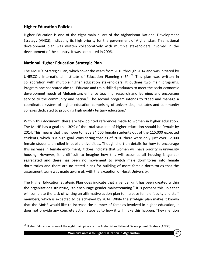### <span id="page-25-0"></span>**Higher Education Policies**

 $\overline{a}$ 

Higher Education is one of the eight main pillars of the Afghanistan National Development Strategy (ANDS), indicating its high priority for the government of Afghanistan. This national development plan was written collaboratively with multiple stakeholders involved in the development of the country. It was completed in 2006.

### <span id="page-25-1"></span>**National Higher Education Strategic Plan**

The MoHE's Strategic Plan, which cover the years from 2010 through 2014 and was initiated by UNESCO's International Institute of Education Planning (IIEP).<sup>61</sup> This plan was written in collaboration with multiple higher education stakeholders. It outlines two main programs. Program one has stated aim to "Educate and train skilled graduates to meet the socio-economic development needs of Afghanistan; enhance teaching, research and learning; and encourage service to the community and nation." The second program intends to "Lead and manage a coordinated system of higher education comprising of universities, institutes and community colleges dedicated to providing high quality tertiary education."

Within this document, there are few pointed references made to women in higher education. The MoHE has a goal that 30% of the total students of higher education should be female by 2014. This means that they hope to have 34,500 female students out of the 115,000 expected students, which is a high goal, considering that as of 2010 there were only just over 12,000 female students enrolled in public universities. Though short on details for how to encourage this increase in female enrollment, it does indicate that women will have priority in university housing. However, it is difficult to imagine how this will occur as all housing is gender segregated and there has been no movement to switch male dormitories into female dormitories and there are no stated plans for building of more female dormitories that the assessment team was made aware of, with the exception of Herat University.

The Higher Education Strategic Plan does indicate that a gender unit has been created within the organizations structure, "to encourage gender mainstreaming." It is perhaps this unit that will complete the task of writing an affirmative action plan to increase female faculty and staff members, which is expected to be achieved by 2014. While the strategic plan makes it known that the MoHE would like to increase the number of females involved in higher education, it does not provide any concrete action steps as to how it will make this happen. They mention

 $^{61}$  Higher Education is one of the eight main pillars of the Afghanistan National Development Strategy (ANDS).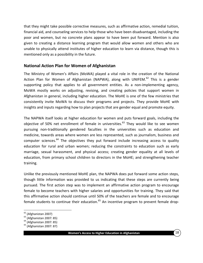that they might take possible corrective measures, such as affirmative action, remedial tuition, financial aid, and counseling services to help those who have been disadvantaged, including the poor and women, but no concrete plans appear to have been put forward. Mention is also given to creating a distance learning program that would allow women and others who are unable to physically attend institutes of higher education to learn via distance, though this is mentioned only as a possibility in the future.

### <span id="page-26-0"></span>**National Action Plan for Women of Afghanistan**

The Ministry of Women's Affairs (MoWA) played a vital role in the creation of the National Action Plan for Women of Afghanistan (NAPWA), along with UNIFEM.<sup>62</sup> This is a gender supporting policy that applies to all government entities. As a non-implementing agency, MoWA mostly works on adjusting, revising, and creating policies that support women in Afghanistan in general, including higher education. The MoHE is one of the few ministries that consistently invite MoWA to discuss their programs and projects. They provide MoHE with insights and inputs regarding how to plan projects that are gender equal and promote equity.

The NAPWA itself looks at higher education for women and puts forward goals, including the objective of 50% net enrollment of female in universities.<sup>63</sup> They would like to see women pursuing non-traditionally gendered faculties in the universities such as education and medicine, towards areas where women are less represented, such as journalism, business and computer sciences.<sup>64</sup> The objectives they put forward include increasing access to quality education for rural and urban women; reducing the constraints to education such as early marriage, sexual harassment, and physical access; creating gender equality at all levels of education, from primary school children to directors in the MoHE; and strengthening teacher training.

Unlike the previously mentioned MoHE plan, the NAPWA does put forward some action steps, though little information was provided to us indicating that these steps are currently being pursued. The first action step was to implement an affirmative action program to encourage female to become teachers with higher salaries and opportunities for training. They said that this affirmative action should continue until 50% of the teachers are female and to encourage female students to continue their education. $65$  An incentive program to prevent female drop-

<sup>62</sup> [\(Afghanistan 2007\)](#page-66-11)

<sup>63</sup> [\(Afghanistan 2007: 85\)](#page-66-11)

 $64$  [\(Afghanistan 2007: 85\)](#page-66-11)

<sup>65</sup> [\(Afghanistan 2007: 87\)](#page-66-11)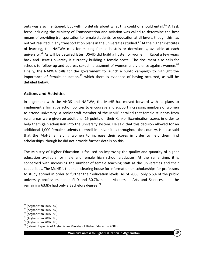outs was also mentioned, but with no details about what this could or should entail.<sup>66</sup> A Task force including the Ministry of Transportation and Aviation was called to determine the best means of providing transportation to female students for education at all levels, though this has not yet resulted in any transportation plans in the universities studied.<sup>67</sup> At the higher institutes of learning, the NAPWA calls for making female hostels or dormitories, available at each university.<sup>68</sup> As will be detailed later, USAID did build a hostel for women in Kabul a few years back and Herat University is currently building a female hostel. The document also calls for schools to follow up and address sexual harassment of women and violence against women.<sup>69</sup> Finally, the NAPWA calls for the government to launch a public campaign to highlight the importance of female education, $^{70}$  which there is evidence of having occurred, as will be detailed below.

### <span id="page-27-0"></span>**Actions and Activities**

In alignment with the ANDS and NAPWA, the MoHE has moved forward with its plans to implement affirmative action policies to encourage and support increasing numbers of women to attend university. A senior staff member of the MoHE detailed that female students from rural areas were given an additional 15 points on their Kankor Examination scores in order to help them gain admission into the university system. He said that this decision allowed for an additional 1,000 female students to enroll in universities throughout the country. He also said that the MoHE is helping women to increase their scores in order to help them find scholarships, though he did not provide further details on this.

The Ministry of Higher Education is focused on improving the quality and quantity of higher education available for male and female high school graduates. At the same time, it is concerned with increasing the number of female teaching staff at the universities and their capabilities. The MoHE is the main clearing house for information on scholarships for professors to study abroad in order to further their education levels. As of 2008, only 5.5% of the public university professors had a PhD and 30.7% had a Masters in Arts and Sciences, and the remaining 63.8% had only a Bachelors degree. $71$ 

<sup>66</sup> [\(Afghanistan 2007: 87\)](#page-66-11)

<sup>67</sup> [\(Afghanistan 2007: 87\)](#page-66-11)

<sup>68</sup> [\(Afghanistan 2007: 88\)](#page-66-11)

<sup>69</sup> [\(Afghanistan 2007: 88\)](#page-66-11)

 $^{70}$  [\(Afghanistan 2007: 88\)](#page-66-11)

 $71$  [\(Islamic Republic of Afghanistan Ministry of Higher Education 2009\)](#page-67-3)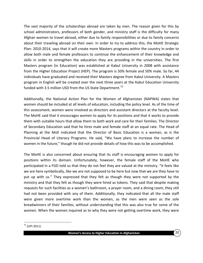The vast majority of the scholarships abroad are taken by men. The reason given for this by school administrators, professors of both gender, and ministry staff is the difficulty for many Afghan women to travel abroad, either due to family responsibilities or due to family concerns about their traveling abroad on their own. In order to try to address this, the MoHE Strategic Plan: 2010-2014, says that it will create more Masters programs within the country in order to allow both male and female professors to continue the enhancement of their knowledge and skills in order to strengthen the education they are providing in the universities. The first Masters program (in Education) was established at Kabul University in 2008 with assistance from the Higher Education Project (HEP). The program is 50% female and 50% male. So far, 44 individuals have graduated and received their Masters degree from Kabul University. A Masters program in English will be created over the next three years at the Kabul Education University funded with 3.5 million USD from the US State Department.<sup>72</sup>

Additionally, the National Action Plan for the Women of Afghanistan (NAPWA) states that women should be included at all levels of education, including the policy level. As of the time of this assessment, women were involved as directors and assistant directors at the faculty level. The MoHE said that it encourages women to apply for its positions and that it works to provide them with suitable hours that allow them to both work and care for their families. The Director of Secondary Education said that he hires male and female staff at an equal rate. The Head of Planning at the MoE indicated that the Director of Basic Education is a woman, as is the Provincial Head of Literacy Programs. He said, "We have plans to increase the number of women in the future," though he did not provide details of how this was to be accomplished.

The MoHE is also concerned about ensuring that its staff is encouraging women to apply for positions within its domain. Unfortunately, however, the female staff of the MoHE who participated in a FGD told us that they do not feel they are valued at the ministry. "It feels like we are here symbolically, like we are not supposed to be here but now that we are they have to put up with us." They expressed that they felt as though they were not supported by the ministry and that they felt as though they were hired as tokens. They said that despite making requests for such facilities as a women's bathroom, a prayer room, and a dining room, they still had not been provided with any of them. Additionally, they indicated that all the male staff were given more overtime work than the women, as the men were seen as the sole breadwinners of their families, without understanding that this was also true for some of the women. When the women inquired as to why they were not getting overtime work, they were

 $\overline{a}$ <sup>72</sup> [\(UPI 2011\)](#page-67-4)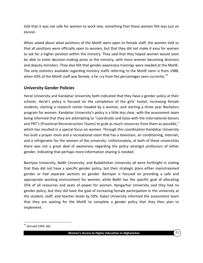told that it was not safe for women to work late; something that these women felt was just an excuse.

When asked about what positions of the MoHE were open to female staff, the women told us that all positions were officially open to women, but that they did not make it easy for women to ask for a higher position within the ministry. They said that they hoped women would soon be able to enter decision-making posts at the ministry, with more women becoming directors and deputy ministers. They also felt that gender awareness trainings were needed at the MoHE. The only statistics available regarding ministry staffs referring to the MoHE stem is from 1988, when 43% of the MoHE staff was female, a far cry from the percentages seen currently.<sup>73</sup>

### <span id="page-29-0"></span>**University Gender Policies**

Herat University and Kandahar University both indicated that they have a gender policy at their schools. Herat's policy is focused on the completion of the girls' hostel, increasing female students, starting a research center headed by a woman, and starting a three year Bachelors program for women. Kandahar University's policy is a little less clear, with the assessment team being informed that they are attempting to "coordinate and liaise with the international donors and PRT's (Provincial Reconstruction Teams) to grab as much resources from them as possible," which has resulted in a special focus on women. Through this coordination Kandahar University has built a prayer room and a recreational room that has a television, air conditioning, internet, and a refrigerator for the women of the university. Unfortunately, at both of these universities there was not a great deal of awareness regarding the policy amongst professors of either gender, indicating that perhaps more information sharing is needed.

Bamiyan University, Balkh University, and Badakhshan University all were forthright in stating that they did not have a specific gender policy, but their strategic plans either mainstreamed gender or had separate sections on gender. Bamiyan is focused on providing a safe and appropriate working environment for women, while Balkh has the specific goal of allocating 35% of all resources and seats of power for women. Nangarhar University said they had no gender policy, but they did have the goal of increasing female participation in the university at the student, staff, and teacher levels by 50%. Kabul University informed the assessment team that they are waiting for the MoHE to complete a gender policy that they then plan to implement.

<sup>73</sup> [\(Arnold 1994: 60\)](#page-66-9)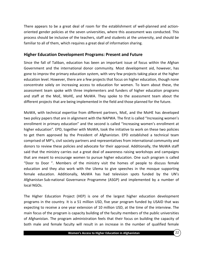There appears to be a great deal of room for the establishment of well-planned and actionoriented gender policies at the seven universities, where this assessment was conducted. This process should be inclusive of the teachers, staff and students at the university, and should be familiar to all of them, which requires a great deal of information sharing.

### <span id="page-30-0"></span>**Higher Education Development Programs: Present and Future**

Since the fall of Taliban, education has been an important issue of focus within the Afghan Government and the international donor community. Most development aid, however, has gone to improv the primary education system, with very few projects taking place at the higher education level. However, there are a few projects that focus on higher education, though none concentrate solely on increasing access to education for women. To learn about these, the assessment team spoke with three implementers and funders of higher education programs and staff at the MoE, MoHE, and MoWA. They spoke to the assessment team about the different projects that are being implemented in the field and those planned for the future.

MoWA, with technical expertise from different partners, MoE, and the MoHE has developed two policy papers that are in alignment with the NAPWA. The first is called "Increasing women's enrollment in primary education" and the second is called "Increasing women's enrollment at higher education". EPD, together with MoWA, took the initiative to work on these two policies to get them approved by the President of Afghanistan. EPD established a technical team comprised of MP's, civil society partners and representatives from international community and donors to review these policies and advocate for their approval. Additionally, the MoWA staff said that the ministry carries out a great deal of awareness raising workshops and campaigns that are meant to encourage women to pursue higher education. One such program is called "Door to Door ". Members of the ministry visit the homes of people to discuss female education and they also work with the Ulema to give speeches in the mosque supporting female education. Additionally, MoWA has had television spots funded by the UN's Afghanistan Sub-national Governance Programme (ASGP) and implemented by a number of local NGOs.

The Higher Education Project (HEP) is one of the largest higher education development programs in the country. It is a 51 million USD, five year program funded by USAID that was expecting to receive a one year extension of 10 million USD, at the time of the interview. The main focus of the program is capacity building of the faculty members of the public universities of Afghanistan. The program administration feels that their focus on building the capacity of both male and female faculty will result in an increase in the number of qualified female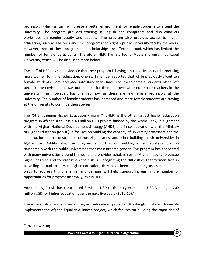professors, which in turn will create a better environment for female students to attend the university. The program provides training in English and computers and also conducts workshops on gender equity and equality. The program also provides access to higher education, such as Master's and PhD programs for Afghan public university faculty members. However, most of these programs and scholarships are offered abroad, which has limited the number of female participants. Therefore, HEP, has started a Masters program at Kabul University, which will be discussed more below.

The staff of HEP has seen evidence that their program is having a positive impact on introducing more women to higher education. One staff member reported that while previously about ten female students were accepted into Kandahar University, these female students often left because the environment was not suitable for them as there were no female teachers in the university. This, however, has changed now as there are few female professors at the university. The number of female students has increased and more female students are staying at the university to continue their studies.

The "Strengthening Higher Education Program" (SHEP) is the other largest higher education program in Afghanistan. It is a 40 million USD project funded by the World Bank, in alignment with the Afghan National Development Strategy (ANDS) and in collaboration with the Ministry of Higher Education (MoHE). It focuses on building the capacity of university professors and the construction and reconstruction of hostels, libraries, and other buildings at six universities in Afghanistan. Additionally, the program is working on building a new strategic plan in partnership with the public universities that mainstreams gender. The program has connected with many universities around the world and provides scholarships for Afghan faculty to pursue higher degrees and to strengthen their skills. Recognizing the difficulties that women face in travelling abroad to pursue higher education, they have been conducting assessment about ways to address this challenge, and perhaps will help support increasing the number of opportunities for progress internally, as did HEP.

Additionally, Russia has contributed 5 million USD to the polytechnic and USAID pledged 200 million USD for higher education over the next five years (2010-15).<sup>74</sup>

There are also some smaller higher education projects. Washington State University implements the Afghan Equality Alliances project, which focuses on building the capacities of

 $74$  [\(Nemtsova 2010\)](#page-67-2)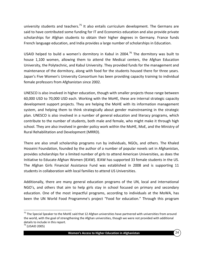university students and teachers.<sup>75</sup> It also entails curriculum development. The Germans are said to have contributed some funding for IT and Economics education and also provide private scholarships for Afghan students to obtain their higher degrees in Germany. France funds French language education, and India provides a large number of scholarships in Education.

USAID helped to build a women's dormitory in Kabul in 2004.<sup>76</sup> The dormitory was built to house 1,100 women, allowing them to attend the Medical centers, the Afghan Education University, the Polytechnic, and Kabul University. They provided funds for the management and maintenance of the dormitory, along with food for the students housed there for three years. Japan's Five Women's University Consortium has been providing capacity training to individual female professors from Afghanistan since 2002.

UNESCO is also involved in higher education, though with smaller projects those range between 60,000 USD to 70,000 USD each. Working with the MoHE, these are internal strategic capacity development support projects. They are helping the MoHE with its information management system, and helping them to think strategically about gender mainstreaming in the strategic plan. UNESCO is also involved in a number of general education and literacy programs, which contribute to the number of students, both male and female, who might make it through high school. They are also involved in gender policy work within the MoHE, MoE, and the Ministry of Rural Rehabilitation and Development (MRRD).

There are also small scholarship programs run by individuals, NGOs, and others. The Khaled Hosseini Foundation, founded by the author of a number of popular novels set in Afghanistan, provides scholarships for a limited number of girls to attend American Universities, as does the Initiative to Educate Afghan Women (IEAW). IEAW has supported 33 female students in the US. The Afghan Girls Financial Assistance Fund was established in 2008 and is supporting 11 students in collaboration with local families to attend US Universities.

Additionally, there are many general education programs of the UN, local and international NGO's, and others that aim to help girls stay in school focused on primary and secondary education. One of the most impactful programs, according to individuals at the MoWA, has been the UN World Food Programme's project "Food for education." Through this program

 $75$  The Special Speaker to the MoHE said that 12 Afghan universities have partnered with universities from around the world, with the goal of strengthening the Afghan universities, though we were not provided with additional details to include in this report.

<sup>76</sup> [\(USAID 2005\)](#page-67-5)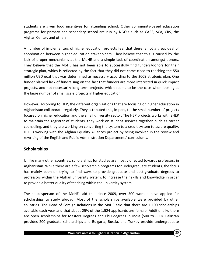students are given food incentives for attending school. Other community-based education programs for primary and secondary school are run by NGO's such as CARE, SCA, CRS, the Afghan Center, and others.

A number of implementers of higher education projects feel that there is not a great deal of coordination between higher education stakeholders. They believe that this is caused by the lack of proper mechanisms at the MoHE and a simple lack of coordination amongst donors. They believe that the MoHE has not been able to successfully find funders/donors for their strategic plan, which is reflected by the fact that they did not come close to reaching the 550 million USD goal that was determined as necessary according to the 2009 strategic plan. One funder blamed lack of fundraising on the fact that funders are more interested in quick impact projects, and not necessarily long-term projects, which seems to be the case when looking at the large number of small scale projects in higher education.

However, according to HEP, the different organizations that are focusing on higher education in Afghanistan collaborate regularly. They attributed this, in part, to the small number of projects focused on higher education and the small university sector. The HEP projects works with SHEP to maintain the registrar of students, they work on student services together, such as career counseling, and they are working on converting the system to a credit system to assure quality. HEP is working with the Afghan Equality Alliances project by being involved in the review and rewriting of the English and Public Administration Departments' curriculums.

### <span id="page-33-0"></span>**Scholarships**

Unlike many other countries, scholarships for studies are mostly directed towards professors in Afghanistan. While there are a few scholarship programs for undergraduate students, the focus has mainly been on trying to find ways to provide graduate and post-graduate degrees to professors within the Afghan university system, to increase their skills and knowledge in order to provide a better quality of teaching within the university system.

The spokesperson of the MoHE said that since 2009, over 500 women have applied for scholarships to study abroad. Most of the scholarships available were provided by other countries. The Head of Foreign Relations in the MoHE said that there are 1,100 scholarships available each year and that about 25% of the 1,524 applicants are female. Additionally, there are open scholarships for Masters Degrees and PhD degrees in India (500 to 800). Pakistan provides 200 graduate scholarships and Bulgaria, Russia, and Turkey provide undergraduate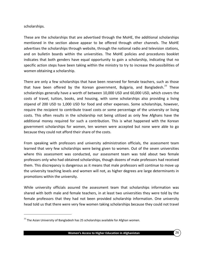#### scholarships.

 $\overline{a}$ 

These are the scholarships that are advertised through the MoHE, the additional scholarships mentioned in the section above appear to be offered through other channels. The MoHE advertises the scholarships through website, through the national radio and television stations, and on bulletin boards within the universities. The MoHE policies and procedures booklet indicates that both genders have equal opportunity to gain a scholarship, indicating that no specific action steps have been taking within the ministry to try to increase the possibilities of women obtaining a scholarship.

There are only a few scholarships that have been reserved for female teachers, such as those that have been offered by the Korean government, Bulgaria, and Bangladesh.<sup>77</sup> These scholarships generally have a worth of between 10,000 USD and 60,000 USD, which covers the costs of travel, tuition, books, and housing, with some scholarships also providing a living stipend of 200 USD to 1,000 USD for food and other expenses. Some scholarships, however, require the recipient to contribute travel costs or some percentage of the university or living costs. This often results in the scholarship not being utilized as only few Afghans have the additional money required for such a contribution. This is what happened with the Korean government scholarships for women, ten women were accepted but none were able to go because they could not afford their share of the costs.

From speaking with professors and university administration officials, the assessment team learned that very few scholarships were being given to women. Out of the seven universities where this assessment was conducted, our assessment team was told about two female professors only who had obtained scholarships, though dozens of male professors had received them. This discrepancy is dangerous as it means that male professors will continue to move up the university teaching levels and women will not, as higher degrees are large determinants in promotions within the university.

While university officials assured the assessment team that scholarships information was shared with both male and female teachers, in at least two universities they were told by the female professors that they had not been provided scholarship information. One university head told us that there were very few women taking scholarships because they could not travel

 $77$  The Asian University of Bangladesh has 25 scholarships available for Afghan women.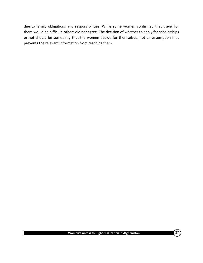due to family obligations and responsibilities. While some women confirmed that travel for them would be difficult, others did not agree. The decision of whether to apply for scholarships or not should be something that the women decide for themselves, not an assumption that prevents the relevant information from reaching them.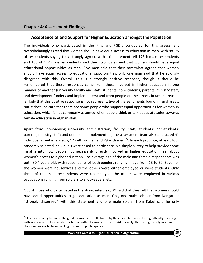#### <span id="page-36-0"></span>**Chapter 4: Assessment Findings**

 $\overline{a}$ 

#### <span id="page-36-1"></span>**Acceptance of and Support for Higher Education amongst the Population**

The individuals who participated in the KII's and FGD's conducted for this assessment overwhelmingly agreed that women should have equal access to education as men, with 98.1% of respondents saying they strongly agreed with this statement. All 176 female respondents and 136 of 142 male respondents said they strongly agreed that women should have equal educational opportunities as men. Five men said that they somewhat agreed that women should have equal access to educational opportunities, only one man said that he strongly disagreed with this. Overall, this is a strongly positive response, though it should be remembered that these responses came from those involved in higher education in one manner or another (university faculty and staff, students, non-students, parents, ministry staff, and development funders and implementers) and from people on the streets in urban areas. It is likely that this positive response is not representative of the sentiments found in rural areas, but it does indicate that there are some people who support equal opportunities for women in education, which is not commonly assumed when people think or talk about attitudes towards female education in Afghanistan.

Apart from interviewing university administration; faculty; staff; students; non-students; parents; ministry staff; and donors and implementers, the assessment team also conducted 41 individual street interviews, 12 with women and 29 with men.<sup>78</sup>. In each province, at least four randomly selected individuals were asked to participate in a simple survey to help provide some insights into how people not necessarily directly involved in higher education, feel about women's access to higher education. The average age of the male and female respondents was both 30.4 years old, with respondents of both genders ranging in age from 18 to 50. Seven of the women were housewives and the others were either employed or were students. Only three of the male respondents were unemployed, the others were employed in various occupations ranging from soldiers to shopkeepers, etc.

Out of those who participated in the street interview, 29 said that they felt that women should have equal opportunities to get education as men. Only one male cobbler from Nangarhar "strongly disagreed" with this statement and one male soldier from Kabul said he only

 $78$  The discrepancy between the genders was mostly attributed by the research team to having difficulty speaking with women in the local market or bazaar without causing problems. Additionally, there are generally more men than women available and willing to speak in public spaces.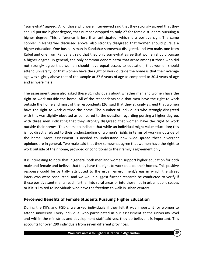"somewhat" agreed. All of those who were interviewed said that they strongly agreed that they should pursue higher degree, that number dropped to only 27 for female students pursuing a higher degree. This difference is less than anticipated, which is a positive sign. The same cobbler in Nangarhar discussed above, also strongly disagreed that women should pursue a higher education. One business man in Kandahar somewhat disagreed, and two male, one from Kabul and one from Kandahar, said that they only somewhat agree that women should pursue a higher degree. In general, the only common denominator that arose amongst those who did not strongly agree that women should have equal access to education, that women should attend university, or that women have the right to work outside the home is that their average age was slightly above that of the sample at 37.6 years of age as compared to 30.4 years of age and all were male.

The assessment team also asked these 31 individuals about whether men and women have the right to work outside the home. All of the respondents said that men have the right to work outside the home and most of the respondents (26) said that they strongly agreed that women have the right to work outside the home. The number of individuals who strongly disagreed with this was slightly elevated as compared to the question regarding pursing a higher degree, with three men indicating that they strongly disagreed that women have the right to work outside their homes. This seems to indicate that while an individual might value education; this is not directly related to their understanding of women's rights in terms of working outside of the home. More assessment is needed to understand how wide spread these divergent opinions are in general. Two male said that they somewhat agree that women have the right to work outside of their home, provided or conditional to their family's agreement only.

It is interesting to note that in general both men and women support higher education for both male and female and believe that they have the right to work outside their homes. This positive response could be partially attributed to the urban environment/areas in which the street interviews were conducted, and we would suggest further research be conducted to verify if these positive sentiments reach further into rural areas or into those not in urban public spaces or if it is limited to individuals who have the freedom to walk in urban centers.

# <span id="page-37-0"></span>**Perceived Benefits of Female Students Pursuing Higher Education**

During the KII's and FGD's, we asked individuals if they felt it was important for women to attend university. Every individual who participated in our assessment at the university level and within the ministries and development staff said yes, they do believe it is important. This accounts for over 290 individuals from seven different provinces.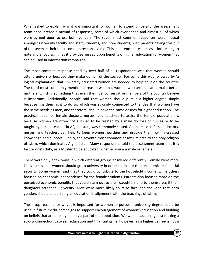When asked to explain why it was important for women to attend university, the assessment team encountered a myriad of responses, some of which overlapped and almost all of which were agreed upon across both genders. The seven most common responses were mutual amongst university faculty and staff, students, and non-students, with parents having five out of the seven in their most common responses also. This coherence in responses is interesting to note and encouraging, as it provides agreed upon benefits of higher education for women that can be used in information campaigns.

The most common response cited by over half of all respondents was that women should attend university because they make up half of the society. For some this was followed by 'a logical explanation' that university educated women are needed to help develop the country. The third most commonly mentioned reason was that women who are educated make better mothers, which is something that even the most conservative members of the country believe is important. Additionally, people said that women should pursue a higher degree simply because it is their right to do so, which was strongly connected to the idea that women have the same needs as men, and therefore, should have the same desires for higher education. The practical need for female doctors, nurses, and teachers to assist the female population is because women are often not allowed to be treated by a male doctors or nurses or to be taught by a male teacher in Afghanistan, was commonly stated. An increase in female doctors, nurses, and teachers can help to keep women healthier and provide them with increased knowledge and support. Finally, the seventh most common answer relates to the holy religion of Islam, which dominates Afghanistan. Many respondents told the assessment team that it is farz or one's duty, as a Muslim to be educated, whether you are male or female.

There were only a few ways in which different groups answered differently. Female were more likely to say that women should go to university in order to ensure their economic or financial security. Some women said that they could contribute to the household income, while others focused on economic independence for the female students. Parents also focused more on the perceived economic benefits that could stem out to their daughters and to themselves if their daughters attended university. Men were more likely to raise farz, and the idea that both genders should be pursuing an education in alignment with the teachings of Islam.

These top reasons for why it is important for women to pursue a university degree could be used in future media campaigns to support encouragement of women's education and building on beliefs that are already held by a part of the population. We would caution against making a strong connection between education and financial gains, however, as a higher degree is not a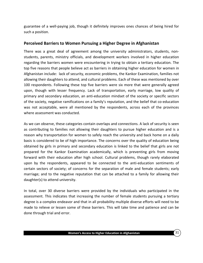guarantee of a well-paying job, though it definitely improves ones chances of being hired for such a position.

### <span id="page-39-0"></span>**Perceived Barriers to Women Pursuing a Higher Degree in Afghanistan**

There was a great deal of agreement among the university administrators, students, nonstudents, parents, ministry officials, and development workers involved in higher education regarding the barriers women were encountering in trying to obtain a tertiary education. The top five reasons that people believe act as barriers in obtaining higher education for women in Afghanistan include: lack of security, economic problems, the Kankor Examination, families not allowing their daughters to attend, and cultural problems. Each of these was mentioned by over 100 respondents. Following these top five barriers were six more that were generally agreed upon, though with lesser frequency. Lack of transportation, early marriage, low quality of primary and secondary education, an anti-education mindset of the society or specific sectors of the society, negative ramifications on a family's reputation, and the belief that co-education was not acceptable, were all mentioned by the respondents, across each of the provinces where assessment was conducted.

As we can observe, these categories contain overlaps and connections. A lack of security is seen as contributing to families not allowing their daughters to pursue higher education and is a reason why transportation for women to safely reach the university and back home on a daily basis is considered to be of high importance. The concerns over the quality of education being obtained by girls in primary and secondary education is linked to the belief that girls are not prepared for the Kankor Examination academically, which is preventing girls from moving forward with their education after high school. Cultural problems, though rarely elaborated upon by the respondents, appeared to be connected to the anti-education sentiments of certain sectors of society; of concerns for the separation of male and female students; early marriage; and to the negative reputation that can be attached to a family for allowing their daughter(s) to attend university.

In total, over 30 diverse barriers were provided by the individuals who participated in the assessment. This indicates that increasing the number of female students pursuing a tertiary degree is a complex endeavor and that in all probability multiple diverse efforts will need to be made to relieve or lessen some of these barriers. This will take time and patience and can be done through trial and error.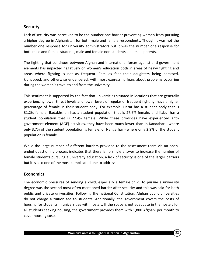### <span id="page-40-0"></span>**Security**

Lack of security was perceived to be the number one barrier preventing women from pursuing a higher degree in Afghanistan for both male and female respondents. Though it was not the number one response for university administrators but it was the number one response for both male and female students, male and female non-students, and male parents.

The fighting that continues between Afghan and international forces against anti-government elements has impacted negatively on women's education both in areas of heavy fighting and areas where fighting is not as frequent. Families fear their daughters being harassed, kidnapped, and otherwise endangered, with most expressing fears about problems occurring during the women's travel to and from the university.

This sentiment is supported by the fact that universities situated in locations that are generally experiencing lower threat levels and lower levels of regular or frequent fighting, have a higher percentage of female in their student body. For example, Herat has a student body that is 31.2% female, Badakhshan has a student population that is 27.6% female, and Kabul has a student population that is 27.4% female. While these provinces have experienced antigovernment element (AGE) activities, they have been much lower than in Kandahar - where only 3.7% of the student population is female, or Nangarhar - where only 2.9% of the student population is female.

While the large number of different barriers provided to the assessment team via an openended questioning process indicates that there is no single answer to increase the number of female students pursuing a university education, a lack of security is one of the larger barriers but it is also one of the most complicated one to address.

#### <span id="page-40-1"></span>**Economics**

The economic pressures of sending a child, especially a female child, to pursue a university degree was the second most often mentioned barrier after security and this was said for both public and private universities. Following the national Constitution, Afghan public universities do not charge a tuition fee to students. Additionally, the government covers the costs of housing for students in universities with hostels. If the space is not adequate in the hostels for all students seeking housing, the government provides them with 1,800 Afghani per month to cover housing costs.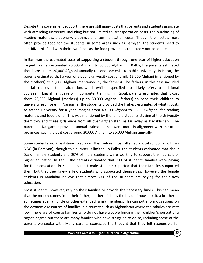Despite this government support, there are still many costs that parents and students associate with attending university, including but not limited to: transportation costs, the purchasing of reading materials, stationary, clothing, and communication costs. Though the hostels most often provide food for the students, in some areas such as Bamiyan, the students need to subsidize this food with their own funds as the food provided is reportedly not adequate.

In Bamiyan the estimated costs of supporting a student through one year of higher education ranged from an estimated 20,000 Afghani to 30,000 Afghani. In Balkh, the parents estimated that it cost them 20,000 Afghani annually to send one child to public university. In Herat, the parents estimated that a year of a public university cost a family 12,000 Afghani (mentioned by the mothers) to 25,000 Afghani (mentioned by the fathers). The fathers, in this case included special courses in their calculation, which while unspecified most likely refers to additional courses in English language or in computer training. In Kabul, parents estimated that it cost them 20,000 Afghani (mothers) up to 30,000 Afghani (fathers) to send their children to university each year. In Nangarhar the students provided the highest estimates of what it costs to attend university for a year, ranging from 49,500 Afghani to 58,500 Afghani for reading materials and food alone. This was mentioned by the female students staying at the University dormitory and these girls were from all over Afghanistan, as far away as Badakhshan. The parents in Nangarhar provided annual estimates that were more in alignment with the other provinces, saying that it cost around 30,000 Afghani to 36,000 Afghani annually.

Some students work part-time to support themselves, most often at a local school or with an NGO (in Bamiyan), though this number is limited. In Balkh, the students estimated that about 5% of female students and 20% of male students were working to support their pursuit of higher education. In Kabul, the parents estimated that 90% of students' families were paying for their education. In Kandahar, most male students reported that their families supported them but that they knew a few students who supported themselves. However, the female students in Kandahar believe that almost 50% of the students are paying for their own education.

Most students, however, rely on their families to provide the necessary funds. This can mean that the money comes from their father, mother (if she is the head of household), a brother or sometimes even an uncle or other extended family members. This can put enormous strains on the economic resources of families in a country such as Afghanistan where the salaries are very low. There are of course families who do not have trouble funding their children's pursuit of a higher degree but there are many families who have struggled to do so, including some of the parents we spoke with. Many parents expressed the thought that they felt responsible for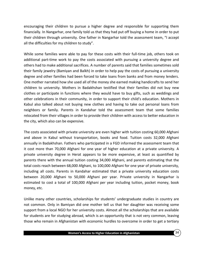encouraging their children to pursue a higher degree and responsible for supporting them financially. In Nangarhar, one family told us that they had put off buying a home in order to put their children through university. One father in Nangarhar told the assessment team, "I accept all the difficulties for my children to study".

While some families were able to pay for these costs with their full-time job, others took on additional part-time work to pay the costs associated with pursuing a university degree and others had to make additional sacrifices. A number of parents said that families sometimes sold their family jewelry (Bamiyan and Balkh) in order to help pay the costs of pursuing a university degree and other families had been forced to take loans from banks and from money lenders. One mother narrated how she used all of the money she earned making handicrafts to send her children to university. Mothers in Badakhshan testified that their families did not buy new clothes or participate in functions where they would have to buy gifts, such as weddings and other celebrations in their community, in order to support their child's education. Mothers in Kabul also talked about not buying new clothes and having to take out personal loans from neighbors or family. Parents in Kandahar told the assessment team that some families relocated from their villages in order to provide their children with access to better education in the city, which also can be expensive.

The costs associated with private university are even higher with tuition costing 60,000 Afghani and above in Kabul without transportation, books and food. Tuition costs 32,000 Afghani annually in Badakhshan. Fathers who participated in a FGD informed the assessment team that it cost more than 70,000 Afghani for one year of higher education at a private university. A private university degree in Herat appears to be more expensive, at least as quantified by parents there with the annual tuition costing 34,000 Afghani, and parents estimating that the total costs reach between 68,000 Afghani, to 100,000 Afghani for one year of private university, including all costs. Parents in Kandahar estimated that a private university education costs between 20,000 Afghani to 50,000 Afghani per year. Private university in Nangarhar is estimated to cost a total of 100,000 Afghani per year including tuition, pocket money, book money, etc.

Unlike many other countries, scholarships for students' undergraduate studies in country are not common. Only in Bamiyan did one mother tell us that her daughter was receiving some support from a local NGO for her university costs. Almost all the scholarships that are available for students are for studying abroad, which is an opportunity that is not very common, leaving those who remain in Afghanistan with economic hurdles to overcome in order to get a tertiary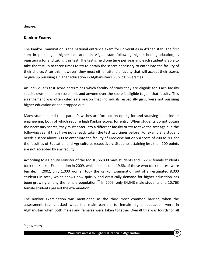degree.

### <span id="page-43-0"></span>**Kankor Exams**

The Kankor Examination is the national entrance exam for universities in Afghanistan. The first step in pursuing a higher education in Afghanistan following high school graduation, is registering for and taking this test. The test is held one time per year and each student is able to take the test up to three times to try to obtain the scores necessary to enter into the faculty of their choice. After this, however, they must either attend a faculty that will accept their scores or give up pursuing a higher education in Afghanistan's Public Universities.

An individual's test score determines which faculty of study they are eligible for. Each faculty sets its own minimum score limit and anyone over the score is eligible to join that faculty. This arrangement was often cited as a reason that individuals, especially girls, were not pursuing higher education or had dropped out.

Many students and their parent's wishes are focused on opting for and studying medicine or engineering, both of which require high Kankor scores for entry. When students do not obtain the necessary scores, they must enter into a different faculty or try to take the test again in the following year if they have not already taken the test two times before. For example, a student needs a score above 300 to enter into the faculty of Medicine but only a score of 200 to 260 for the faculties of Education and Agriculture, respectively. Students attaining less than 100 points are not accepted by any faculty.

According to a Deputy Minister of the MoHE, 66,800 male students and 16,237 female students took the Kankor Examination in 2009, which means that 19.6% of those who took the test were female. In 2002, only 1,000 women took the Kankor Examination out of an estimated 8,000 students in total, which shows how quickly and drastically demand for higher education has been growing among the female population.<sup>79</sup> In 2009, only 34,543 male students and 10,763 female students passed the examination.

The Kankor Examination was mentioned as the third most common barrier, when the assessment teams asked what the main barriers to female higher education were in Afghanistan when both males and females were taken together Overall this was fourth for all

<sup>79</sup> [\(IRIN 2002\)](#page-66-12)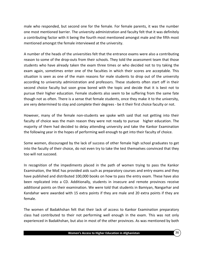male who responded, but second one for the female. For female parents, it was the number one most mentioned barrier. The university administration and faculty felt that it was definitely a contributing factor with it being the fourth most mentioned amongst male and the fifth most mentioned amongst the female interviewed at the university.

A number of the heads of the universities felt that the entrance exams were also a contributing reason to some of the drop-outs from their schools. They told the assessment team that those students who have already taken the exam three times or who decided not to try taking the exam again, sometimes enter one of the faculties in which their scores are acceptable. This situation is seen as one of the main reasons for male students to drop out of the university according to university administration and professors. These students often start off in their second choice faculty but soon grow bored with the topic and decide that it is best not to pursue their higher education. Female students also seem to be suffering from the same fate though not as often. There is a sense that female students, once they make it to the university, are very determined to stay and complete their degrees - be it their first choice faculty or not.

However, many of the female non-students we spoke with said that not getting into their faculty of choice was the main reason they were not ready to pursue higher education. The majority of them had decided to delay attending university and take the Kankor Examination the following year in the hopes of performing well enough to get into their faculty of choice.

Some women, discouraged by the lack of success of other female high school graduates to get into the faculty of their choice, do not even try to take the test themselves convinced that they too will not succeed.

In recognition of the impediments placed in the path of women trying to pass the Kankor Examination, the MoE has provided aids such as preparatory courses and entry exams and they have published and distributed 100,000 books on how to pass the entry exam. These have also been replicated into a CD. Additionally, students in insecure and remote provinces receive additional points on their examination. We were told that students in Bamiyan, Nangarhar and Kandahar were awarded with 15 extra points if they are male and 20 extra points if they are female.

The women of Badakhshan felt that their lack of access to Kankor Examination preparatory class had contributed to their not performing well enough in the exam. This was not only experienced in Badakhshan, but also in most of the other provinces. As was mentioned by both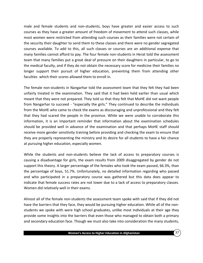male and female students and non-students, boys have greater and easier access to such courses as they have a greater amount of freedom of movement to attend such classes, while most women were restricted from attending such courses as their families were not certain of the security their daughter to send them to these classes and there were no gender segregated courses available. To add to this, all such classes or courses are an additional expense that many families cannot afford to pay. The four female non-students in Herat told the assessment team that many families put a great deal of pressure on their daughters in particular, to go to the medical faculty, and if they do not obtain the necessary score for medicine their families no longer support their pursuit of higher education, preventing them from attending other faculties which their scores allowed them to enroll in.

The female non-students in Nangarhar told the assessment team that they felt they had been unfairly treated in the examination. They said that it had been held earlier than usual which meant that they were not prepared. They told us that they felt that MoHE did not want people from Nangarhar to succeed - "especially the girls." They continued to describe the individuals from the MoHE who came to check the exams as discouraging and unprofessional and they felt that they had scared the people in the province. While we were unable to corroborate this information, it is an important reminder that information about the examination schedules should be provided well in advance of the examination and that perhaps MoHE staff should receive more gender sensitivity training before providing and checking the exam to ensure that they are properly representing the ministry and its desire for all students to have a fair chance at pursuing higher education, especially women.

While the students and non-students believe the lack of access to preparatory courses is causing a disadvantage for girls, the exam results from 2009 disaggregated by gender do not support this theory. A larger percentage of the females who took the exam passed, 66.3%, than the percentage of boys, 51.7%. Unfortunately, no detailed information regarding who passed and who participated in a preparatory course was gathered but this data does appear to indicate that female success rates are not lower due to a lack of access to preparatory classes. Women did relatively well in their exams.

Almost all of the female non-students the assessment team spoke with said that if they did not have the barriers that they face, they would be pursuing higher education. While all of the nonstudents we spoke with were high school graduates, unlike most individuals at their age they provide some insights into the barriers that even those who managed to obtain both a primary and secondary education face. Though we must also take into consideration the many students,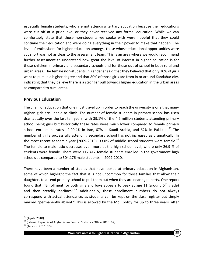especially female students, who are not attending tertiary education because their educations were cut off at a prior level or they never received any formal education. While we can comfortably state that those non-students we spoke with were hopeful that they could continue their education and were doing everything in their power to make that happen. The level of enthusiasm for higher education amongst those whose educational opportunities were cut short was not as clear to the assessment team. This is an area where we would recommend further assessment to understand how great the level of interest in higher education is for those children in primary and secondary schools and for those out of school in both rural and urban areas. The female non-students in Kandahar said that they believed that only 30% of girls want to pursue a higher degree and that 80% of those girls are from in or around Kandahar city, indicating that they believe there is a stronger pull towards higher education in the urban areas as compared to rural areas.

### <span id="page-46-0"></span>**Previous Education**

The chain of education that one must travel up in order to reach the university is one that many Afghan girls are unable to climb. The number of female students in primary school has risen dramatically over the last ten years, with 39.1% of the 4.7 million students attending primary school being girls but historically these rates were much lower compared to female primary school enrollment rates of 90.4% in Iran, 67% in Saudi Arabia, and 62% in Pakistan. $80$  The number of girl's successfully attending secondary school has not increased as dramatically. In the most recent academic year (2009-2010), 33.0% of middle school students were female. $81$ The female to male ratio decreases even more at the high school level, where only 26.9 % of students were female. There were 112,417 female students enrolled in the government high schools as compared to 304,176 male students in 2009-2010.

There have been a number of studies that have looked at primary education in Afghanistan, some of which highlight the fact that it is not uncommon for those families that allow their daughters to attend primary school to pull them out when they are nearing puberty. One report found that, "Enrollment for both girls and boys appears to peak at age 11 (around  $5<sup>th</sup>$  grade) and then steadily declines".<sup>82</sup> Additionally, these enrollment numbers do not always correspond with actual attendance, as students can be kept on the class register but simply marked "permanently absent." This is allowed by the MoE policy for up to three years, after

 $\overline{a}$ <sup>80</sup> [\(Ayubi 2010\)](#page-66-13)

 $81$  [\(Islamic Republic of Afghanistan Central Statistics Office 2010: 62\)](#page-66-1).

 $82$  [\(Jackson 2011: 10\)](#page-67-6)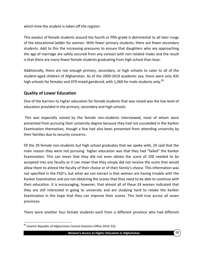which time the student is taken off the register.

This exodus of female students around the fourth or fifth grade is detrimental to all later rungs of the educational ladder for women. With fewer primary students, there are fewer secondary students. Add to this the increasing pressures to ensure that daughters who are approaching the age of marriage are safely secured from any contact with non-related males and the result is that there are many fewer female students graduating from high school than boys.

Additionally, there are not enough primary, secondary, or high schools to cater to all of the student-aged children of Afghanistan. As of the 2009-2010 academic yea, there were only 435 high schools for females and 979 mixed gendered, with 1,060 for male students only.<sup>83</sup>

# <span id="page-47-0"></span>**Quality of Lower Education**

One of the barriers to higher education for female students that was raised was the low level of education provided in the primary, secondary and high schools.

This was especially voiced by the female non-students interviewed, most of whom were prevented from pursuing their university degree because they had not succeeded in the Kankor Examination themselves, though a few had also been prevented from attending university by their families due to security concerns.

Of the 29 female non-students but high school graduates that we spoke with, 24 said that the main reason they were not pursuing higher education was that they had "failed" the Kankor Examination. This can mean that they did not even obtain the score of 100 needed to be accepted into any faculty or it can mean that they simply did not receive the score that would allow them to attend the faculty of their choice or of their family's choice. This information was not specified in the FGD's, but what we can extract is that women are having trouble with the Kankor Examination and are not obtaining the scores that they need to be able to continue with their education. It is encouraging, however, that almost all of these 24 women indicated that they are still interested in going to university and are studying hard to retake the Kankor Examination in the hope that they can improve their scores. This held true across all seven provinces.

There were another four female students each from a different province who had different

 $\overline{a}$ 

<sup>&</sup>lt;sup>83</sup> [\(Islamic Republic of Afghanistan Central Statistics Office 2010: 63\)](#page-66-1).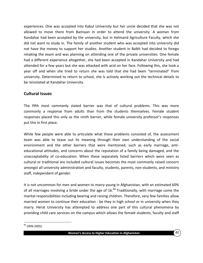experiences. One was accepted into Kabul University but her uncle decided that she was not allowed to move there from Bamiyan in order to attend the university. A woman from Kandahar had been accepted by the university, but in Helmand Agriculture Faculty, which she did not want to study in. The family of another student who was accepted into university did not have the money to support her studies. Another student in Balkh had decided to forego retaking the exam and was planning on attending one of the private universities. One female had a different experience altogether, she had been accepted in Kandahar University and had attended for a few years but she was attacked with acid on her face. Following this, she took a year off and when she tried to return she was told that she had been "terminated" from university. Determined to return to school, she is actively working out the technical details to be reinstated at Kandahar University.

### <span id="page-48-0"></span>**Cultural Issues**

The fifth most commonly stated barrier was that of cultural problems. This was more commonly a response from adults than from the students themselves. Female student responses placed this only as the ninth barrier, while female university professor's responses put this in first place.

While few people were able to articulate what these problems consisted of, the assessment team was able to tease out its meaning through their own understanding of the social environment and the other barriers that were mentioned, such as early marriage, antieducational attitudes, and concerns about the reputation of a family being damaged, and the unacceptability of co-education. When these separately listed barriers which were seen as cultural or traditional are included cultural issues becomes the most commonly raised concern amongst all university administration and faculty, students, parents, non-students, and ministry staff, independent of gender.

It is not uncommon for men and women to marry young in Afghanistan, with an estimated 60% of all marriages involving a bride under the age of  $16.^{84}$  Traditionally, with marriage come the marital responsibilities including bearing and raising children. Therefore, very few families allow married women to continue their education - be they in high school or in university when they marry. Herat University has attempted to address one part of this cultural phenomena by providing child care services on the campus which allows the female students, faculty and staff

 $\overline{a}$ <sup>84</sup> [\(IRIN 2005\)](#page-66-14)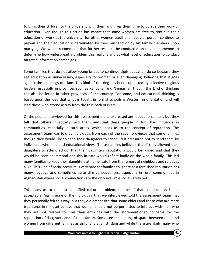to bring their children to the university with them and gives them time to pursue their work or education. Even though this action has meant that some women are free to continue their education or work at the university, for other women traditional ideas of purdah continue to prevail and their education is terminated by their husband or by his family members upon marrying. We would recommend that further research be conducted on this phenomenon to determine how widespread a problem this really is and at what level of education to conduct targeted information campaigns.

Some families that do not allow young brides to continue their education do so because they see education as unnecessary, especially for women or even damaging, believing that it goes against the teachings of Islam. This kind of thinking has been supported by selective religious leaders, especially in provinces such as Kandahar and Nangarhar, though this kind of thinking can also be found in other provinces of the country. For some, anti-educational thinking is based upon the idea that what is taught in formal schools is Western in orientation and will lead those who attend astray from the true path of Islam.

Of the people interviewed for this assessment, none expressed anti-educational ideas but they felt that others in society held them and that these people in turn had influence in communities, especially in rural areas, which leads us to the concept of reputation. The assessment team was told by individuals from each of the seven provinces that some families though they would like to send their daughters to school, felt pressured not to send them by individuals who held anti-educational views. These families believed that if they allowed their daughters to attend school that their daughters reputations would be ruined and that they would be seen as immoral and this in turn would reflect badly on the whole family. This led many families to keep their daughters at home, safe from the rumors of neighbors and relatives alike. This kind of social pressure is very hard for families to ignore as a tarnished reputation has many negative and sometimes quite dire consequences, especially in rural communities in Afghanistan where social connections are the only available social safety net.

This leads us to the last identified cultural problem, the belief that co-education is not acceptable. Again, none of the individuals that we interviewed told the assessment team that they personally felt this way, but they did emphasize that some elders and those who are more traditional in mindset believe that women should not be permitted to interact with men who they are not related to. This then entwines with the aforementioned concerns for the reputation of daughters and of their family. Some see the sharing of space between men and women from different families as sinful and against Islam and while there are likely many who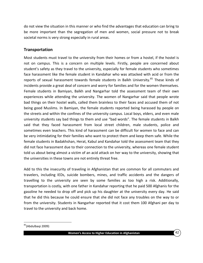do not view the situation in this manner or who find the advantages that education can bring to be more important than the segregation of men and women, social pressure not to break societal norms is very strong especially in rural areas.

### <span id="page-50-0"></span>**Transportation**

Most students must travel to the university from their homes or from a hostel, if the hostel is not on campus. This is a concern on multiple levels. Firstly, people are concerned about student's safety as they travel to the university, especially for female students who sometimes face harassment like the female student in Kandahar who was attacked with acid or from the reports of sexual harassment towards female students in Balkh University.<sup>85</sup> These kinds of incidents provide a great deal of concern and worry for families and for the women themselves. Female students in Bamiyan, Balkh and Nangarhar told the assessment team of their own experiences while attending the university. The women of Nangarhar said that people wrote bad things on their hostel walls, called them brainless to their faces and accused them of not being good Muslims. In Bamiyan, the female students reported being harassed by people on the streets and within the confines of the university campus. Local boys, elders, and even male university students say bad things to them and use "bad words". The female students in Balkh said that they faced harassment from local street children, male students, police and sometimes even teachers. This kind of harassment can be difficult for women to face and can be very intimidating for their families who want to protect them and keep them safe. While the female students in Badakhshan, Herat, Kabul and Kandahar told the assessment team that they did not face harassment due to their connection to the university, whereas one female student told us about being almost a victim of an acid attack on her way to the university, showing that the universities in these towns are not entirely threat free.

Add to this the insecurity of traveling in Afghanistan that are common for all commuters and travelers, including IEDs, suicide bombers, mines, and traffic accidents and the dangers of travelling to the university are seen by some families as too high a risk. Additionally, transportation is costly, with one father in Kandahar reporting that he paid 500 Afghanis for the gasoline he needed to drop off and pick up his daughter at the university every day. He said that he did this because he could ensure that she did not face any troubles on the way to or from the university. Students in Nangarhar reported that it cost them 100 Afghani per day to travel to the university and back home.

<sup>&</sup>lt;sup>85</sup>[\(Abdulbaqi 2009\)](#page-66-2)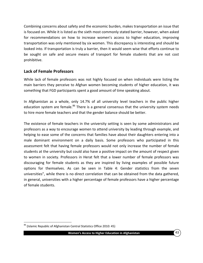Combining concerns about safety and the economic burden, makes transportation an issue that is focused on. While it is listed as the sixth most commonly stated barrier, however, when asked for recommendations on how to increase women's access to higher education, improving transportation was only mentioned by six women. This discrepancy is interesting and should be looked into. If transportation is truly a barrier, then it would seem wise that efforts continue to be sought on safe and secure means of transport for female students that are not cost prohibitive.

# <span id="page-51-0"></span>**Lack of Female Professors**

While lack of female professors was not highly focused on when individuals were listing the main barriers they perceive to Afghan women becoming students of higher education, it was something that FGD participants spent a good amount of time speaking about.

In Afghanistan as a whole, only 14.7% of all university level teachers in the public higher education system are female. $86$  There is a general consensus that the university system needs to hire more female teachers and that the gender balance should be better.

The existence of female teachers in the university setting is seen by some administrators and professors as a way to encourage women to attend university by leading through example, and helping to ease some of the concerns that families have about their daughters entering into a male dominant environment on a daily basis. Some professors who participated in this assessment felt that having female professors would not only increase the number of female students at the university but could also have a positive impact on the amount of respect given to women in society. Professors in Herat felt that a lower number of female professors was discouraging for female students as they are inspired by living examples of possible future options for themselves. As can be seen in [Table 4: Gender statistics from the seven](#page-52-0)  [universities](#page-52-0)", while there is no direct correlation that can be obtained from the data gathered, in general, universities with a higher percentage of female professors have a higher percentage of female students.

<sup>&</sup>lt;sup>86</sup> [\(Islamic Republic of Afghanistan Central Statistics Office 2010: 45\)](#page-66-1)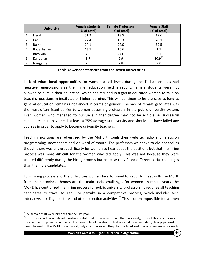|    | <b>University</b> | <b>Female students</b><br>(% of total) | <b>Female Professors</b><br>(% of total) | <b>Female Staff</b><br>(% of total) |
|----|-------------------|----------------------------------------|------------------------------------------|-------------------------------------|
| 1. | Herat             | 31.2                                   | 18.5                                     | 19.6                                |
| 2. | Kabul             | 27.4                                   | 19.3                                     | 20.1                                |
| 3. | <b>Balkh</b>      | 24.1                                   | 24.0                                     | 32.5                                |
| 4. | Badakhshan        | 13.7                                   | 10.6                                     | 1.7                                 |
| 5. | Bamiyan           | 4.5                                    | 27.6                                     | 8.1                                 |
| 6. | Kandahar          | 3.7                                    | 2.9                                      | $10.9^{87}$                         |
| 7. | Nangarhar         | 2.9                                    | 2.8                                      | 2.0                                 |

**Table 4: Gender statistics from the seven universities**

<span id="page-52-0"></span>Lack of educational opportunities for women at all levels during the Taliban era has had negative repercussions as the higher education field is rebuilt. Female students were not allowed to pursue their education, which has resulted in a gap in educated women to take on teaching positions in institutes of higher learning. This will continue to be the case as long as general education remains unbalanced in terms of gender. The lack of female graduates was the most often listed barrier to women becoming professors in the public university system. Even women who managed to pursue a higher degree may not be eligible, as successful candidates must have held at least a 75% average at university and should not have failed any courses in order to apply to become university teachers.

Teaching positions are advertised by the MoHE through their website, radio and television programming, newspapers and via word of mouth. The professors we spoke to did not feel as though there was any great difficulty for women to hear about the positions but that the hiring process was more difficult for the women who did apply. This was not because they were treated differently during the hiring process but because they faced different social challenges than the male candidates.

Long hiring process and the difficulties women face to travel to Kabul to meet with the MoHE from their provincial homes are the main social challenges for women. In recent years, the MoHE has centralized the hiring process for public university professors. It requires all teaching candidates to travel to Kabul to partake in a competitive process, which includes test, interviews, holding a lecture and other selection activities.<sup>88</sup> This is often impossible for women

 $87$  All female staff were hired within the last year.

<sup>88</sup> Professors and university administration staff told the research team that previously, most of this process was done within the province, and when the university administration had selected their candidate, their paperwork would be sent to the MoHE for approval, only after this would they then be hired and officially become a university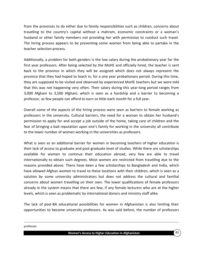from the provinces to do either due to family responsibilities such as children, concerns about travelling to the country's capital without a mahram, economic constraints or a woman's husband or other family members not providing her with permission to conduct such travel. The hiring process appears to be preventing some women from being able to partake in the teacher selection process.

Additionally, a problem for both genders is the low salary during the probationary year for the first year professors. After being selected by the MoHE and officially hired, the teacher is sent back to the province in which they will be assigned which does not always represent the province that they had hoped to teach in, for a one year probationary period. During this time, they are supposed to be visited and observed by experienced MoHE teachers but we were told that this was not happening very often. Their salary during this year-long period ranges from 3,000 Afghani to 3,500 Afghani, which is seen as a hardship and a barrier to becoming a professor, as few people can afford to earn so little each month for a full year.

Overall some of the aspects of the hiring process were seen as barriers to female working as professors in the university. Cultural barriers, the need for a woman to obtain her husband's permission to apply for and accept a job outside of the home, taking care of children and the fear of bringing a bad reputation upon one's family for working in the university all contribute to the lower number of women working in the universities as professors.

What is seen as an additional barrier for women in becoming teachers of higher education is their lack of access to graduate and post-graduate level of studies. While there are scholarships available for women to continue their education abroad, very few are able to travel internationally to obtain such degrees. Most women are restricted from travelling due to the reasons provided above. There have been a few scholarships to Bangladesh and India, which have allowed Afghan women to travel to these locations with their children, which is seen as a solution by some university administrators but does not address the cultural and familial concerns about women travelling on their own. The lower qualifications of female professors already in the system means that there are few, if any female lecturers who are at the higher levels, which is seen as problematic by international donors and ministry staff alike.

The lack of post-BA educational possibilities for women in Afghanistan is also limiting their opportunities to become university professors. As was said before, the number of professors

professor.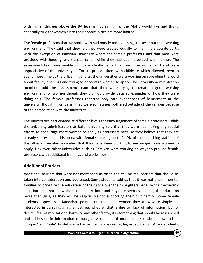with higher degrees above the BA level is not as high as the MoHE would like and this is especially true for women since their opportunities are more limited.

The female professors that we spoke with had mostly positive things to say about their working environment. They said that they felt they were treated equally to their male counterparts, with the exception of Bamiyan University where the female professors said that men were provided with housing and transportation while they had been provided with neither. The assessment team was unable to independently verify this claim. The women of Herat were appreciative of the university's effort to provide them with childcare which allowed them to spend more time at the office. In general, the universities were working on spreading the word about faculty openings and trying to encourage women to apply. The university administration members told the assessment team that they were trying to create a good working environment for women though they did not provide detailed examples of how they were doing this. The female professors reported only rare experiences of harassment at the university, though in Kandahar they were sometimes bothered outside of the campus because of their association with the university.

The universities participated at different levels for encouragement of female professors. While the university administrators at Balkh University said that they were not making any special efforts to encourage more women to apply as professors because they believe that they are already successful in this arena with females making up to 24.0% of their teaching staff, all of the other universities indicated that they have been working to encourage more women to apply. However, other universities such as Bamiyan were working on ways to provide female professors with additional trainings and workshops.

### <span id="page-54-0"></span>**Additional Barriers**

Additional barriers that were not mentioned as often can still be real barriers that should be taken into consideration and addressed. Some students told us that it was not uncommon for families to prioritize the education of their sons over their daughters because their economic situation does not allow them to support both and boys are seen as needing the education more than girls, as they will be responsible for supporting their own family. Some female students, especially in Kandahar, pointed out that most women they knew were simply not interested in pursuing a higher degree, whether that is due to lack of information; lack of desire; fear of reputational harm; or any other factor; it is something that should be researched and addressed in information campaigns. A number of mothers talked about how lack of "proper" and "safe" hostel was a barrier for girls accessing higher education. A few students,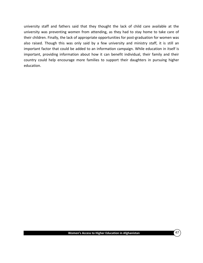university staff and fathers said that they thought the lack of child care available at the university was preventing women from attending, as they had to stay home to take care of their children. Finally, the lack of appropriate opportunities for post-graduation for women was also raised. Though this was only said by a few university and ministry staff, it is still an important factor that could be added to an information campaign. While education in itself is important, providing information about how it can benefit individual, their family and their country could help encourage more families to support their daughters in pursuing higher education.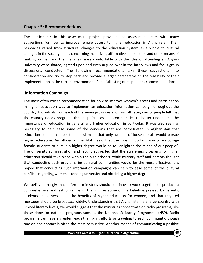#### <span id="page-56-0"></span>**Chapter 5: Recommendations**

The participants in this assessment project provided the assessment team with many suggestions for how to improve female access to higher education in Afghanistan. Their responses varied from structural changes to the education system as a whole to cultural changes in the society. Ideas concerning incentives, affirmative action steps and other means of making women and their families more comfortable with the idea of attending an Afghan university were shared, agreed upon and even argued over in the interviews and focus group discussions conducted. The following recommendations take these suggestions into consideration and try to step back and provide a larger perspective on the feasibility of their implementation in the current environment. For a full listing of respondent recommendations.

#### <span id="page-56-1"></span>**Information Campaign**

The most often voiced recommendation for how to improve women's access and participation in higher education was to implement an education information campaign throughout the country. Individuals from each of the seven provinces and from all categories of people felt that the country needs programs that help families and communities to better understand the importance of education in general and higher education in particular. It was also seen as necessary to help ease some of the concerns that are perpetuated in Afghanistan that education stands in opposition to Islam or that only woman of loose morals would pursue higher education. An official at the MoHE said that the most important way to encourage female students to pursue a higher degree would be to "enlighten the minds of our people". The university administration and faculty suggested that the awareness programs for higher education should take place within the high schools, while ministry staff and parents thought that conducting such programs inside rural communities would be the most effective. It is hoped that conducting such information campaigns can help to ease some of the cultural conflicts regarding women attending university and obtaining a higher degree.

We believe strongly that different ministries should continue to work together to produce a comprehensive and lasting campaign that utilizes some of the beliefs expressed by parents, students and others about the benefits of higher education for women, and that targeted messages should be broadcast widely. Understanding that Afghanistan is a large country with limited literacy levels, we would suggest that the ministries concentrate on radio programs, like those done for national programs such as the National Solidarity Programme (NSP). Radio programs can have a greater reach than print efforts or traveling to each community, though one on one contact is often the most persuasive. Another means of communicating a positive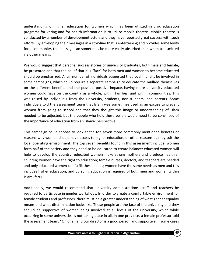understanding of higher education for women which has been utilized in civic education programs for voting and for health information is to utilize mobile theatre. Mobile theatre is conducted by a number of development actors and they have reported great success with such efforts. By enveloping their messages in a storyline that is entertaining and provides some levity for a community, the message can sometimes be more easily absorbed than when transmitted via other means.

We would suggest that personal success stories of university graduates, both male and female, be presented and that the belief that it is "farz" for both men and women to become educated should be emphasized. A fair number of individuals suggested that local mullahs be involved in some campaigns, which could require a separate campaign to educate the mullahs themselves on the different benefits and the possible positive impacts having more university educated women could have on the country as a whole, within families, and within communities. This was raised by individuals from the university, students, non-students, and parents. Some individuals told the assessment team that Islam was sometimes used as an excuse to prevent women from going to school and that they thought this image or understanding of Islam needed to be adjusted, but the people who hold these beliefs would need to be convinced of the importance of education from an Islamic perspective.

This campaign could choose to look at the top seven more commonly mentioned benefits or reasons why women should have access to higher education, or other reasons as they suit the local operating environment. The top seven benefits found in this assessment include: women form half of the society and they need to be educated to create balance; educated women will help to develop the country; educated women make strong mothers and produce healthier children; women have the right to education; female nurses, doctors, and teachers are needed and only educated women can fulfill these needs; women have the same needs as men and this includes higher education; and pursuing education is required of both men and women within Islam (farz).

Additionally, we would recommend that university administrations, staff and teachers be required to participate in gender workshops. In order to create a comfortable environment for female students and professors, there must be a greater understanding of what gender equality means and what discrimination looks like. These people are the face of the university and they should be supportive of women being involved at all levels of the university, which while occurring in some universities is not taking place in all. In one province, a female professor told the assessment team, "On one hand our director is a good person and supportive in some cases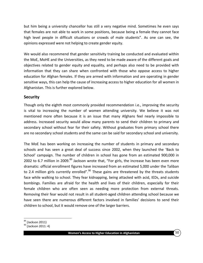but him being a university chancellor has still a very negative mind. Sometimes he even says that females are not able to work in some positions, because being a female they cannot face high level people in difficult situations or crowds of male students". As one can see, the opinions expressed were not helping to create gender equity.

We would also recommend that gender sensitivity training be conducted and evaluated within the MoE, MoHE and the Universities, as they need to be made aware of the different goals and objectives related to gender equity and equality, and perhaps also need to be provided with information that they can share when confronted with those who oppose access to higher education for Afghan females. If they are armed with information and are operating in gender sensitive ways, this can help the cause of increasing access to higher education for all women in Afghanistan. This is further explored below.

### <span id="page-58-0"></span>**Security**

Though only the eighth most commonly provided recommendation i.e., improving the security is vital to increasing the number of women attending university. We believe it was not mentioned more often because it is an issue that many Afghans feel nearly impossible to address. Increased security would allow many parents to send their children to primary and secondary school without fear for their safety. Without graduates from primary school there are no secondary school students and the same can be said for secondary school and university.

The MoE has been working on increasing the number of students in primary and secondary schools and has seen a great deal of success since 2002, when they launched the 'Back to School' campaign. The number of children in school has gone from an estimated 900,000 in 2002 to 6.7 million in 2009. $89$  Jackson wrote that, "For girls, the increase has been even more dramatic: official enrollment figures have increased from an estimated 5,000 under the Taliban to 2.4 million girls currently enrolled".<sup>90</sup> These gains are threatened by the threats students face while walking to school. They fear kidnapping, being attacked with acid, IEDs, and suicide bombings. Families are afraid for the health and lives of their children, especially for their female children who are often seen as needing more protection from external threats. Removing their fear would not result in all student-aged children attending school because we have seen there are numerous different factors involved in families' decisions to send their children to school, but it would remove one of the larger barriers.

 $\overline{a}$ 89 [\(Jackson 2011\)](#page-67-6)

 $90$  [\(Jackson 2011: 4\)](#page-67-6)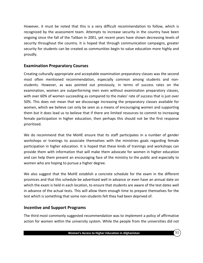However, it must be noted that this is a very difficult recommendation to follow, which is recognized by the assessment team. Attempts to increase security in the country have been ongoing since the fall of the Taliban in 2001, yet recent years have shown decreasing levels of security throughout the country. It is hoped that through communication campaigns, greater security for students can be created as communities begin to value education more highly and proudly.

# <span id="page-59-0"></span>**Examination Preparatory Courses**

Creating culturally appropriate and acceptable examination preparatory classes was the second most often mentioned recommendation, especially common among students and nonstudents. However, as was pointed out previously, in terms of success rates on the examination, women are outperforming men even without examination preparatory classes, with over 60% of women succeeding as compared to the males' rate of success that is just over 50%. This does not mean that we discourage increasing the preparatory classes available for women, which we believe can only be seen as a means of encouraging women and supporting them but it does lead us to believe that if there are limited resources to commit to increasing female participation in higher education, then perhaps this should not be the first response prioritized.

We do recommend that the MoHE ensure that its staff participates in a number of gender workshops or trainings to associate themselves with the ministries goals regarding female participation in higher education. It is hoped that these kinds of trainings and workshops can provide them with information that will make them advocate for women in higher education and can help them present an encouraging face of the ministry to the public and especially to women who are hoping to pursue a higher degree.

We also suggest that the MoHE establish a concrete schedule for the exam in the different provinces and that this schedule be advertised well in advance or even have an annual date on which the exam is held in each location, to ensure that students are aware of the test dates well in advance of the actual tests. This will allow them enough time to prepare themselves for the test which is something that some non-students felt they had been deprived of.

# <span id="page-59-1"></span>**Incentive and Support Programs**

The third most commonly suggested recommendation was to implement a policy of affirmative action for women within the university system. While the people from the universities did not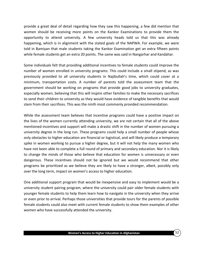provide a great deal of detail regarding how they saw this happening, a few did mention that women should be receiving more points on the Kankor Examinations to provide them the opportunity to attend university. A few university heads told us that this was already happening, which is in alignment with the stated goals of the NAPWA. For example, we were told in Bamiyan that male students taking the Kankor Examination get an extra fifteen points while female students get an extra 20 points. The same was said in Nangarhar and Kandahar.

Some individuals felt that providing additional incentives to female students could improve the number of women enrolled in university programs. This could include a small stipend, as was previously provided to all university students in Najibullah's time, which could cover at a minimum, transportation costs. A number of parents told the assessment team that the government should be working on programs that provide good jobs to university graduates, especially women, believing that this will inspire other families to make the necessary sacrifices to send their children to university as they would have evidence of tangible benefits that would stem from their sacrifices. This was the ninth most commonly provided recommendation.

While the assessment team believes that incentive programs could have a positive impact on the lives of the women currently attending university, we are not certain that all of the above mentioned incentives and support will make a drastic shift in the number of women pursuing a university degree in the long run. These programs could help a small number of people whose only obstacles to higher education are financial or logistical, and will likely produce a temporary spike in women working to pursue a higher degree, but it will not help the many women who have not been able to complete a full round of primary and secondary education. Nor it is likely to change the minds of those who believe that education for women is unnecessary or even dangerous. These incentives should not be ignored but we would recommend that other programs be prioritized as we believe they are likely to have a stronger, albeit, possibly only over the long term, impact on women's access to higher education.

One additional support program that would be inexpensive and easy to implement would be a university student pairing program, where the university could pair older female students with younger female students to help them learn how to navigate in the university when they arrive or even prior to arrival. Perhaps those universities that provide tours for the parents of possible female students could also meet with current female students to show them examples of other women who have successfully attended the university.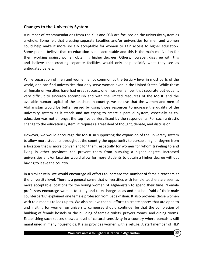### <span id="page-61-0"></span>**Changes to the University System**

A number of recommendations from the KII's and FGD are focused on the university system as a whole. Some felt that creating separate faculties and/or universities for men and women could help make it more socially acceptable for women to gain access to higher education. Some people believe that co-education is not acceptable and this is the main motivation for them working against women obtaining higher degrees. Others, however, disagree with this and believe that creating separate facilities would only help solidify what they see as antiquated beliefs.

While separation of men and women is not common at the tertiary level in most parts of the world, one can find universities that only serve women even in the United States. While these all female universities have had great success, one must remember that separate but equal is very difficult to sincerely accomplish and with the limited resources of the MoHE and the available human capital of the teachers in country, we believe that the women and men of Afghanistan would be better served by using those resources to increase the quality of the university system as it stands and not trying to create a parallel system, especially as coeducation was not amongst the top five barriers listed by the respondents. For such a drastic change to the education system, it requires a great deal of thought, debate, and discussion.

However, we would encourage the MoHE in supporting the expansion of the university system to allow more students throughout the country the opportunity to pursue a higher degree from a location that is more convenient for them, especially for women for whom traveling to and living in other provinces can prevent them from pursuing a higher degree. Increased universities and/or faculties would allow for more students to obtain a higher degree without having to leave the country.

In a similar vein, we would encourage all efforts to increase the number of female teachers at the university level. There is a general sense that universities with female teachers are seen as more acceptable locations for the young women of Afghanistan to spend their time. "Female professors encourage women to study and to exchange ideas and not be afraid of their male counterparts," explained one female professor from Badakhshan. It also provides those women with role models to look up to. We also believe that all efforts to create spaces that are open to and inviting for women on university campuses should continue, be that the completion of building of female hostels or the building of female toilets, prayers rooms, and dining rooms. Establishing such spaces shows a level of cultural sensitivity in a country where purdah is still maintained in many households. It also provides women with a refuge. A staff member of HEP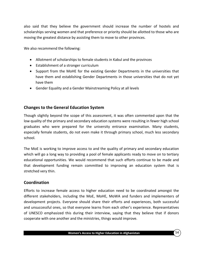also said that they believe the government should increase the number of hostels and scholarships serving women and that preference or priority should be allotted to those who are moving the greatest distance by assisting them to move to other provinces.

We also recommend the following:

- Allotment of scholarships to female students in Kabul and the provinces
- Establishment of a stronger curriculum
- Support from the MoHE for the existing Gender Departments in the universities that have them and establishing Gender Departments in those universities that do not yet have them
- <span id="page-62-0"></span>Gender Equality and a Gender Mainstreaming Policy at all levels

### **Changes to the General Education System**

Though slightly beyond the scope of this assessment, it was often commented upon that the low quality of the primary and secondary education systems were resulting in fewer high school graduates who were prepared for the university entrance examination. Many students, especially female students, do not even make it through primary school, much less secondary school.

The MoE is working to improve access to and the quality of primary and secondary education which will go a long way to providing a pool of female applicants ready to move on to tertiary educational opportunities. We would recommend that such efforts continue to be made and that development funding remain committed to improving an education system that is stretched very thin.

#### <span id="page-62-1"></span>**Coordination**

Efforts to increase female access to higher education need to be coordinated amongst the different stakeholders, including the MoE, MoHE, MoWA and funders and implementers of development projects. Everyone should share their efforts and experiences, both successful and unsuccessful ones, so that everyone learns from each other's experience. Representatives of UNESCO emphasized this during their interview, saying that they believe that if donors cooperate with one another and the ministries, things would improve.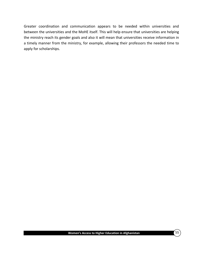Greater coordination and communication appears to be needed within universities and between the universities and the MoHE itself. This will help ensure that universities are helping the ministry reach its gender goals and also it will mean that universities receive information in a timely manner from the ministry, for example, allowing their professors the needed time to apply for scholarships.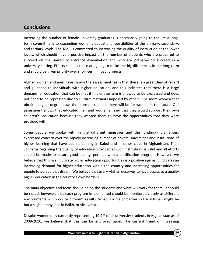# <span id="page-64-0"></span>**Conclusions**

Increasing the number of female university graduates is necessarily going to require a longterm commitment to expanding women's educational possibilities at the primary, secondary, and tertiary levels. The MoE is committed to increasing the quality of instruction at the lower levels, which should have a positive impact on the number of students who are prepared to succeed on the university entrance examination and who are prepared to succeed in a university setting. Efforts such as these are going to make the big differences in the long-term and should be given priority over short-term impact projects.

Afghan women and men have shown the assessment team that there is a great deal of regard and guidance to individuals with higher education, and this indicates that there is a large demand for education that can be met if this enthusiasm is allowed to be expressed and does not need to be repressed due to cultural restraints imposed by others. The more women that obtain a higher degree now, the more possibilities there will be for women in the future. Our assessment shows that educated men and women all said that they would support their own children's' education because they wanted them to have the opportunities that they were provided with.

Some people we spoke with in the different ministries and the funders/implementers expressed concern over the rapidly increasing number of private universities and institutions of higher learning that have been blooming in Kabul and in other cities in Afghanistan. Their concerns regarding the quality of education provided at such institutions is valid and all efforts should be made to ensure good quality, perhaps with a certification program. However, we believe that this rise in private higher education opportunities is a positive sign as it indicates an increasing demand for higher education within the country and increasing opportunities for people to pursue that dream. We believe that every Afghan deserves to have access to a quality higher education in the country's own borders.

The main objective and focus should be on the students and what will work for them. It should be noted, however, that each program implemented should be monitored closely as different environments will produce different results. What is a major barrier in Badakhshan might be but a slight annoyance in Balkh, or vice versa.

Despite women only currently representing 19.9% of all university students in Afghanistan as of 2009-2010, we believe that this can be improved upon. The current trend of increasing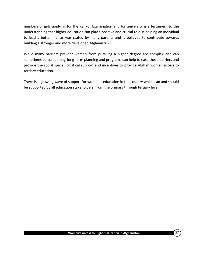numbers of girls applying for the Kankor Examination and for university is a testament to the understanding that higher education can play a positive and crucial role in helping an individual to lead a better life, as was stated by many parents and is believed to contribute towards building a stronger and more developed Afghanistan.

While many barriers prevent women from pursuing a higher degree are complex and can sometimes be compelling, long-term planning and programs can help to ease these barriers and provide the social space, logistical support and incentives to provide Afghan women access to tertiary education.

There is a growing wave of support for women's education in the country which can and should be supported by all education stakeholders, from the primary through tertiary level.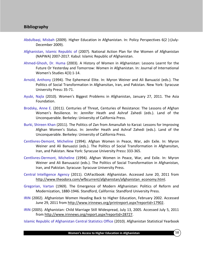#### <span id="page-66-0"></span>**Bibliography**

- <span id="page-66-2"></span>Abdulbaqi, Misbah (2009). Higher Education in Afghanistan. In: Policy Perspectives 6(2 ):(July-December 2009).
- <span id="page-66-11"></span>Afghanistan, Islamic Republic of (2007). National Action Plan for the Women of Afghanistan (NAPWA) 2007-2017. Kabul: Islamic Republic of Afghanistan.
- <span id="page-66-6"></span>Ahmed-Ghosh, Dr. Huma (2003). A History of Women in Afghanistan: Lessons Learnt for the Future Or Yesterday and Tomorrow: Women in Afghanistan. In: Journal of International Women's Studies 4(3):1-14.
- <span id="page-66-9"></span>Arnold, Anthony (1994). The Ephemeral Elite. In: Myron Weiner and Ali Banuazizi (eds.). The Politics of Social Transformation in Afghansitan, Iran, and Pakistan. New York: Syracuse University Press**:** 35-71.
- <span id="page-66-13"></span>Ayubi, Najla (2010). Women's Biggest Problems in Afghanistan, January 27, 2011. The Asia Foundation.
- <span id="page-66-8"></span>Brodsky, Anne E. (2011). Centuries of Threat, Centuries of Resistance: The Lessons of Afghan Women's Resilience. In: Jennifer Heath and Ashraf Zahedi (eds.). Land of the Unconquerable. Berkeley: University of California Press.
- <span id="page-66-3"></span>Burki, Shireen Khan (2011). The Politics of Zan from Amanullah to Karzai: Lessons for Improving Afghan Women's Status. In: Jennifer Heath and Ashraf Zahedi (eds.). Land of the Unconquerable. Berkeley: University of California Press.
- <span id="page-66-7"></span>Centlivres-Demont, Micheline (1994). Afghan Women in Peace, War, adn Exile. In: Myron Weiner and Ali Banuazizi (eds.). The Politics of Social Transformation in Afghansitan, Iran, and Pakistan. New York: Syracuse University Press**:** 333-365.
- <span id="page-66-5"></span>Centlivres-Dermont, Micheline (1994). Afghan Women in Peace, War, and Exile. In: Myron Weiner and Ali Banuuazizi (eds.). The Politics of Social Transformation in Afghanistan, Iran, and Pakistan. Syracuse: Syracuse University Press.
- <span id="page-66-10"></span>Central Intelligence Agency (2011). CIAFactbook: Afghanistan. Accessed June 20, 2011 from [http://www.theodora.com/wfbcurrent/afghanistan/afghanistan\\_economy.html.](http://www.theodora.com/wfbcurrent/afghanistan/afghanistan_economy.html)
- <span id="page-66-4"></span>Gregorian, Vartan (1969). The Emergence of Modern Afghanistan: Politics of Reform and Modernization, 1880-1946. Standford, California: Standford University Press.
- <span id="page-66-12"></span>IRIN (2002). Afghanistan Women Heading Back to Higher Education, February 2002. Accessed June 29, 2011 from [http://www.irinnews.org/printreport.aspx?reportid=17902.](http://www.irinnews.org/printreport.aspx?reportid=17902)
- <span id="page-66-14"></span>IRIN (2005). Afghanistan: Child Marriage Still Widespread, July 13, 2005. Accessed July 5, 2011 from [http://www.irinnews.org/report.aspx?reportid=28727.](http://www.irinnews.org/report.aspx?reportid=28727)

<span id="page-66-1"></span>Islamic Republic of Afghanistan Central Statistics Office (2010). Afghanistan Statistical Yearbook